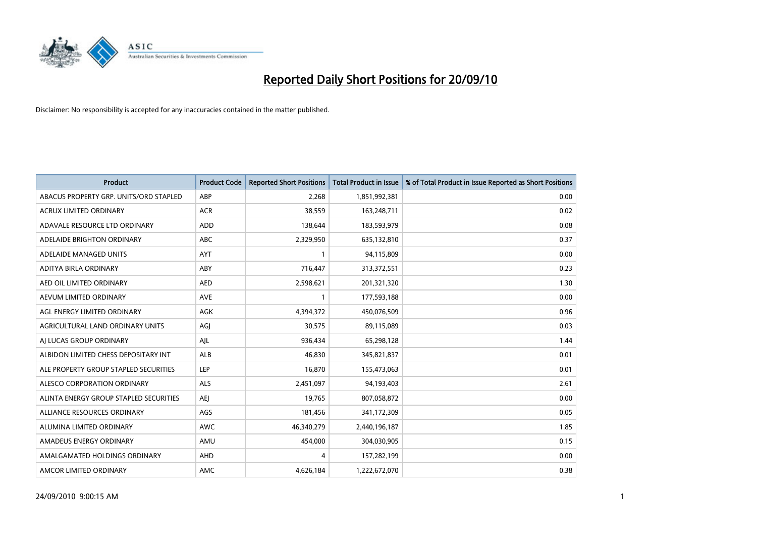

| <b>Product</b>                         | <b>Product Code</b> | <b>Reported Short Positions</b> | <b>Total Product in Issue</b> | % of Total Product in Issue Reported as Short Positions |
|----------------------------------------|---------------------|---------------------------------|-------------------------------|---------------------------------------------------------|
| ABACUS PROPERTY GRP. UNITS/ORD STAPLED | ABP                 | 2,268                           | 1,851,992,381                 | 0.00                                                    |
| ACRUX LIMITED ORDINARY                 | <b>ACR</b>          | 38,559                          | 163,248,711                   | 0.02                                                    |
| ADAVALE RESOURCE LTD ORDINARY          | ADD                 | 138,644                         | 183,593,979                   | 0.08                                                    |
| ADELAIDE BRIGHTON ORDINARY             | <b>ABC</b>          | 2,329,950                       | 635,132,810                   | 0.37                                                    |
| ADELAIDE MANAGED UNITS                 | <b>AYT</b>          |                                 | 94,115,809                    | 0.00                                                    |
| ADITYA BIRLA ORDINARY                  | ABY                 | 716,447                         | 313,372,551                   | 0.23                                                    |
| AED OIL LIMITED ORDINARY               | <b>AED</b>          | 2,598,621                       | 201,321,320                   | 1.30                                                    |
| AEVUM LIMITED ORDINARY                 | <b>AVE</b>          |                                 | 177,593,188                   | 0.00                                                    |
| AGL ENERGY LIMITED ORDINARY            | AGK                 | 4,394,372                       | 450,076,509                   | 0.96                                                    |
| AGRICULTURAL LAND ORDINARY UNITS       | AGJ                 | 30,575                          | 89,115,089                    | 0.03                                                    |
| AJ LUCAS GROUP ORDINARY                | AJL                 | 936,434                         | 65,298,128                    | 1.44                                                    |
| ALBIDON LIMITED CHESS DEPOSITARY INT   | <b>ALB</b>          | 46.830                          | 345,821,837                   | 0.01                                                    |
| ALE PROPERTY GROUP STAPLED SECURITIES  | <b>LEP</b>          | 16,870                          | 155,473,063                   | 0.01                                                    |
| ALESCO CORPORATION ORDINARY            | ALS                 | 2,451,097                       | 94,193,403                    | 2.61                                                    |
| ALINTA ENERGY GROUP STAPLED SECURITIES | <b>AEI</b>          | 19,765                          | 807,058,872                   | 0.00                                                    |
| ALLIANCE RESOURCES ORDINARY            | AGS                 | 181,456                         | 341,172,309                   | 0.05                                                    |
| ALUMINA LIMITED ORDINARY               | <b>AWC</b>          | 46,340,279                      | 2,440,196,187                 | 1.85                                                    |
| AMADEUS ENERGY ORDINARY                | AMU                 | 454,000                         | 304,030,905                   | 0.15                                                    |
| AMALGAMATED HOLDINGS ORDINARY          | AHD                 | 4                               | 157,282,199                   | 0.00                                                    |
| AMCOR LIMITED ORDINARY                 | AMC                 | 4,626,184                       | 1,222,672,070                 | 0.38                                                    |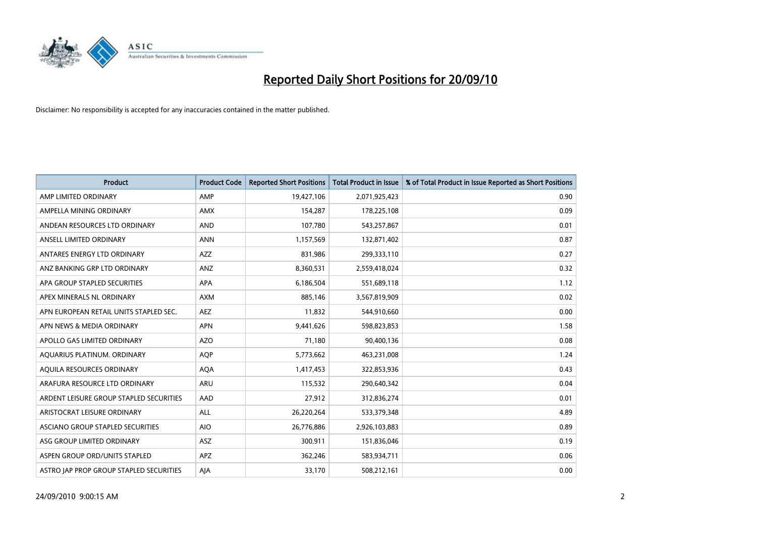

| <b>Product</b>                          | <b>Product Code</b> | <b>Reported Short Positions</b> | Total Product in Issue | % of Total Product in Issue Reported as Short Positions |
|-----------------------------------------|---------------------|---------------------------------|------------------------|---------------------------------------------------------|
| AMP LIMITED ORDINARY                    | AMP                 | 19,427,106                      | 2,071,925,423          | 0.90                                                    |
| AMPELLA MINING ORDINARY                 | AMX                 | 154,287                         | 178,225,108            | 0.09                                                    |
| ANDEAN RESOURCES LTD ORDINARY           | <b>AND</b>          | 107,780                         | 543,257,867            | 0.01                                                    |
| ANSELL LIMITED ORDINARY                 | <b>ANN</b>          | 1,157,569                       | 132,871,402            | 0.87                                                    |
| ANTARES ENERGY LTD ORDINARY             | <b>AZZ</b>          | 831,986                         | 299,333,110            | 0.27                                                    |
| ANZ BANKING GRP LTD ORDINARY            | ANZ                 | 8,360,531                       | 2,559,418,024          | 0.32                                                    |
| APA GROUP STAPLED SECURITIES            | <b>APA</b>          | 6,186,504                       | 551,689,118            | 1.12                                                    |
| APEX MINERALS NL ORDINARY               | <b>AXM</b>          | 885,146                         | 3,567,819,909          | 0.02                                                    |
| APN EUROPEAN RETAIL UNITS STAPLED SEC.  | <b>AEZ</b>          | 11,832                          | 544,910,660            | 0.00                                                    |
| APN NEWS & MEDIA ORDINARY               | <b>APN</b>          | 9,441,626                       | 598,823,853            | 1.58                                                    |
| APOLLO GAS LIMITED ORDINARY             | <b>AZO</b>          | 71,180                          | 90,400,136             | 0.08                                                    |
| AQUARIUS PLATINUM. ORDINARY             | <b>AOP</b>          | 5,773,662                       | 463,231,008            | 1.24                                                    |
| AQUILA RESOURCES ORDINARY               | <b>AQA</b>          | 1,417,453                       | 322,853,936            | 0.43                                                    |
| ARAFURA RESOURCE LTD ORDINARY           | <b>ARU</b>          | 115,532                         | 290,640,342            | 0.04                                                    |
| ARDENT LEISURE GROUP STAPLED SECURITIES | AAD                 | 27,912                          | 312,836,274            | 0.01                                                    |
| ARISTOCRAT LEISURE ORDINARY             | ALL                 | 26,220,264                      | 533,379,348            | 4.89                                                    |
| ASCIANO GROUP STAPLED SECURITIES        | <b>AIO</b>          | 26,776,886                      | 2,926,103,883          | 0.89                                                    |
| ASG GROUP LIMITED ORDINARY              | <b>ASZ</b>          | 300,911                         | 151,836,046            | 0.19                                                    |
| ASPEN GROUP ORD/UNITS STAPLED           | <b>APZ</b>          | 362,246                         | 583,934,711            | 0.06                                                    |
| ASTRO JAP PROP GROUP STAPLED SECURITIES | AJA                 | 33,170                          | 508,212,161            | 0.00                                                    |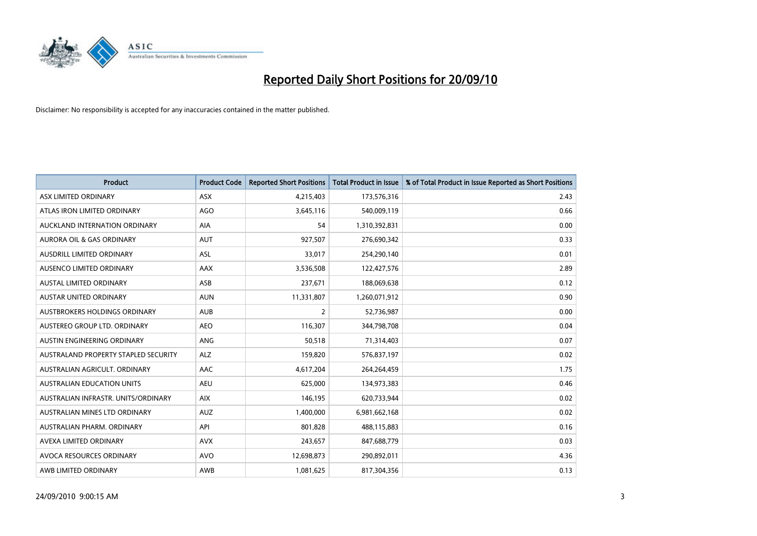

| <b>Product</b>                       | <b>Product Code</b> | <b>Reported Short Positions</b> | <b>Total Product in Issue</b> | % of Total Product in Issue Reported as Short Positions |
|--------------------------------------|---------------------|---------------------------------|-------------------------------|---------------------------------------------------------|
| ASX LIMITED ORDINARY                 | <b>ASX</b>          | 4,215,403                       | 173,576,316                   | 2.43                                                    |
| ATLAS IRON LIMITED ORDINARY          | <b>AGO</b>          | 3,645,116                       | 540,009,119                   | 0.66                                                    |
| AUCKLAND INTERNATION ORDINARY        | AIA                 | 54                              | 1,310,392,831                 | 0.00                                                    |
| AURORA OIL & GAS ORDINARY            | <b>AUT</b>          | 927,507                         | 276,690,342                   | 0.33                                                    |
| <b>AUSDRILL LIMITED ORDINARY</b>     | ASL                 | 33,017                          | 254,290,140                   | 0.01                                                    |
| AUSENCO LIMITED ORDINARY             | AAX                 | 3,536,508                       | 122,427,576                   | 2.89                                                    |
| <b>AUSTAL LIMITED ORDINARY</b>       | ASB                 | 237,671                         | 188,069,638                   | 0.12                                                    |
| AUSTAR UNITED ORDINARY               | <b>AUN</b>          | 11,331,807                      | 1,260,071,912                 | 0.90                                                    |
| <b>AUSTBROKERS HOLDINGS ORDINARY</b> | <b>AUB</b>          | 2                               | 52,736,987                    | 0.00                                                    |
| AUSTEREO GROUP LTD. ORDINARY         | AEO                 | 116,307                         | 344,798,708                   | 0.04                                                    |
| AUSTIN ENGINEERING ORDINARY          | ANG                 | 50,518                          | 71,314,403                    | 0.07                                                    |
| AUSTRALAND PROPERTY STAPLED SECURITY | <b>ALZ</b>          | 159,820                         | 576,837,197                   | 0.02                                                    |
| AUSTRALIAN AGRICULT. ORDINARY        | AAC                 | 4,617,204                       | 264,264,459                   | 1.75                                                    |
| <b>AUSTRALIAN EDUCATION UNITS</b>    | <b>AEU</b>          | 625,000                         | 134,973,383                   | 0.46                                                    |
| AUSTRALIAN INFRASTR, UNITS/ORDINARY  | <b>AIX</b>          | 146,195                         | 620,733,944                   | 0.02                                                    |
| AUSTRALIAN MINES LTD ORDINARY        | <b>AUZ</b>          | 1,400,000                       | 6,981,662,168                 | 0.02                                                    |
| AUSTRALIAN PHARM. ORDINARY           | API                 | 801,828                         | 488,115,883                   | 0.16                                                    |
| AVEXA LIMITED ORDINARY               | <b>AVX</b>          | 243,657                         | 847,688,779                   | 0.03                                                    |
| AVOCA RESOURCES ORDINARY             | <b>AVO</b>          | 12,698,873                      | 290,892,011                   | 4.36                                                    |
| AWB LIMITED ORDINARY                 | AWB                 | 1,081,625                       | 817,304,356                   | 0.13                                                    |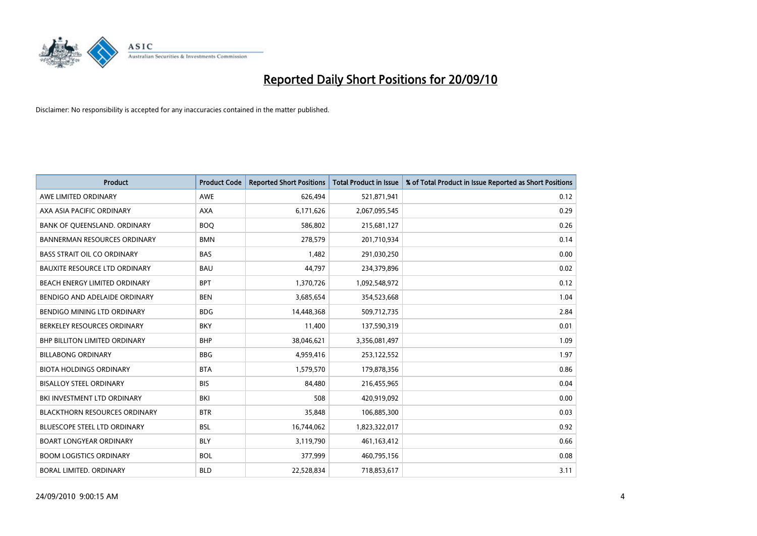

| <b>Product</b>                       | <b>Product Code</b> | <b>Reported Short Positions</b> | <b>Total Product in Issue</b> | % of Total Product in Issue Reported as Short Positions |
|--------------------------------------|---------------------|---------------------------------|-------------------------------|---------------------------------------------------------|
| AWE LIMITED ORDINARY                 | <b>AWE</b>          | 626,494                         | 521,871,941                   | 0.12                                                    |
| AXA ASIA PACIFIC ORDINARY            | <b>AXA</b>          | 6,171,626                       | 2,067,095,545                 | 0.29                                                    |
| BANK OF QUEENSLAND. ORDINARY         | <b>BOO</b>          | 586,802                         | 215,681,127                   | 0.26                                                    |
| <b>BANNERMAN RESOURCES ORDINARY</b>  | <b>BMN</b>          | 278,579                         | 201,710,934                   | 0.14                                                    |
| <b>BASS STRAIT OIL CO ORDINARY</b>   | <b>BAS</b>          | 1,482                           | 291,030,250                   | 0.00                                                    |
| <b>BAUXITE RESOURCE LTD ORDINARY</b> | <b>BAU</b>          | 44,797                          | 234,379,896                   | 0.02                                                    |
| BEACH ENERGY LIMITED ORDINARY        | <b>BPT</b>          | 1,370,726                       | 1,092,548,972                 | 0.12                                                    |
| BENDIGO AND ADELAIDE ORDINARY        | <b>BEN</b>          | 3,685,654                       | 354,523,668                   | 1.04                                                    |
| BENDIGO MINING LTD ORDINARY          | <b>BDG</b>          | 14,448,368                      | 509,712,735                   | 2.84                                                    |
| BERKELEY RESOURCES ORDINARY          | <b>BKY</b>          | 11,400                          | 137,590,319                   | 0.01                                                    |
| <b>BHP BILLITON LIMITED ORDINARY</b> | <b>BHP</b>          | 38,046,621                      | 3,356,081,497                 | 1.09                                                    |
| <b>BILLABONG ORDINARY</b>            | <b>BBG</b>          | 4,959,416                       | 253,122,552                   | 1.97                                                    |
| <b>BIOTA HOLDINGS ORDINARY</b>       | <b>BTA</b>          | 1,579,570                       | 179,878,356                   | 0.86                                                    |
| <b>BISALLOY STEEL ORDINARY</b>       | <b>BIS</b>          | 84,480                          | 216,455,965                   | 0.04                                                    |
| BKI INVESTMENT LTD ORDINARY          | BKI                 | 508                             | 420,919,092                   | 0.00                                                    |
| <b>BLACKTHORN RESOURCES ORDINARY</b> | <b>BTR</b>          | 35,848                          | 106,885,300                   | 0.03                                                    |
| <b>BLUESCOPE STEEL LTD ORDINARY</b>  | <b>BSL</b>          | 16,744,062                      | 1,823,322,017                 | 0.92                                                    |
| <b>BOART LONGYEAR ORDINARY</b>       | <b>BLY</b>          | 3,119,790                       | 461,163,412                   | 0.66                                                    |
| <b>BOOM LOGISTICS ORDINARY</b>       | <b>BOL</b>          | 377.999                         | 460,795,156                   | 0.08                                                    |
| BORAL LIMITED, ORDINARY              | <b>BLD</b>          | 22.528.834                      | 718,853,617                   | 3.11                                                    |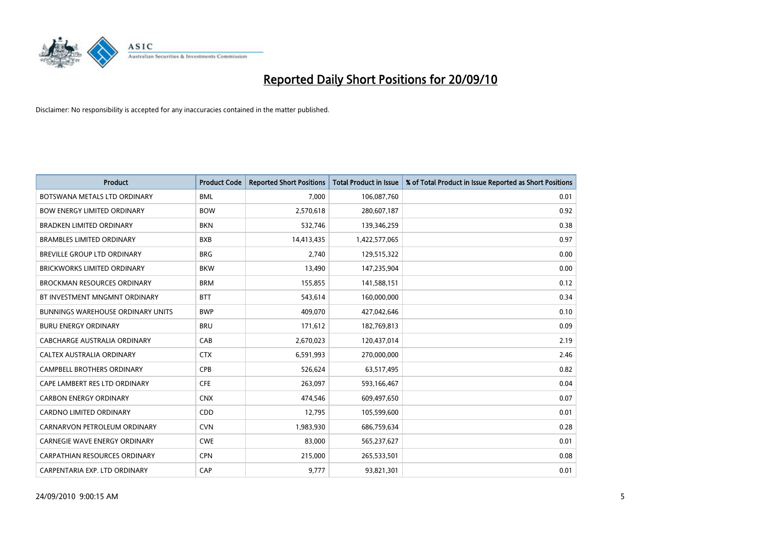

| <b>Product</b>                           | <b>Product Code</b> | <b>Reported Short Positions</b> | <b>Total Product in Issue</b> | % of Total Product in Issue Reported as Short Positions |
|------------------------------------------|---------------------|---------------------------------|-------------------------------|---------------------------------------------------------|
| BOTSWANA METALS LTD ORDINARY             | <b>BML</b>          | 7.000                           | 106,087,760                   | 0.01                                                    |
| <b>BOW ENERGY LIMITED ORDINARY</b>       | <b>BOW</b>          | 2,570,618                       | 280,607,187                   | 0.92                                                    |
| <b>BRADKEN LIMITED ORDINARY</b>          | <b>BKN</b>          | 532,746                         | 139,346,259                   | 0.38                                                    |
| <b>BRAMBLES LIMITED ORDINARY</b>         | <b>BXB</b>          | 14,413,435                      | 1,422,577,065                 | 0.97                                                    |
| <b>BREVILLE GROUP LTD ORDINARY</b>       | <b>BRG</b>          | 2,740                           | 129,515,322                   | 0.00                                                    |
| <b>BRICKWORKS LIMITED ORDINARY</b>       | <b>BKW</b>          | 13,490                          | 147,235,904                   | 0.00                                                    |
| <b>BROCKMAN RESOURCES ORDINARY</b>       | <b>BRM</b>          | 155,855                         | 141,588,151                   | 0.12                                                    |
| BT INVESTMENT MNGMNT ORDINARY            | <b>BTT</b>          | 543.614                         | 160,000,000                   | 0.34                                                    |
| <b>BUNNINGS WAREHOUSE ORDINARY UNITS</b> | <b>BWP</b>          | 409,070                         | 427,042,646                   | 0.10                                                    |
| <b>BURU ENERGY ORDINARY</b>              | <b>BRU</b>          | 171,612                         | 182,769,813                   | 0.09                                                    |
| CABCHARGE AUSTRALIA ORDINARY             | CAB                 | 2,670,023                       | 120,437,014                   | 2.19                                                    |
| <b>CALTEX AUSTRALIA ORDINARY</b>         | <b>CTX</b>          | 6,591,993                       | 270,000,000                   | 2.46                                                    |
| <b>CAMPBELL BROTHERS ORDINARY</b>        | CPB                 | 526,624                         | 63,517,495                    | 0.82                                                    |
| CAPE LAMBERT RES LTD ORDINARY            | <b>CFE</b>          | 263,097                         | 593,166,467                   | 0.04                                                    |
| <b>CARBON ENERGY ORDINARY</b>            | <b>CNX</b>          | 474.546                         | 609,497,650                   | 0.07                                                    |
| <b>CARDNO LIMITED ORDINARY</b>           | CDD                 | 12,795                          | 105,599,600                   | 0.01                                                    |
| CARNARVON PETROLEUM ORDINARY             | <b>CVN</b>          | 1,983,930                       | 686,759,634                   | 0.28                                                    |
| CARNEGIE WAVE ENERGY ORDINARY            | <b>CWE</b>          | 83,000                          | 565,237,627                   | 0.01                                                    |
| CARPATHIAN RESOURCES ORDINARY            | <b>CPN</b>          | 215,000                         | 265,533,501                   | 0.08                                                    |
| CARPENTARIA EXP. LTD ORDINARY            | CAP                 | 9,777                           | 93,821,301                    | 0.01                                                    |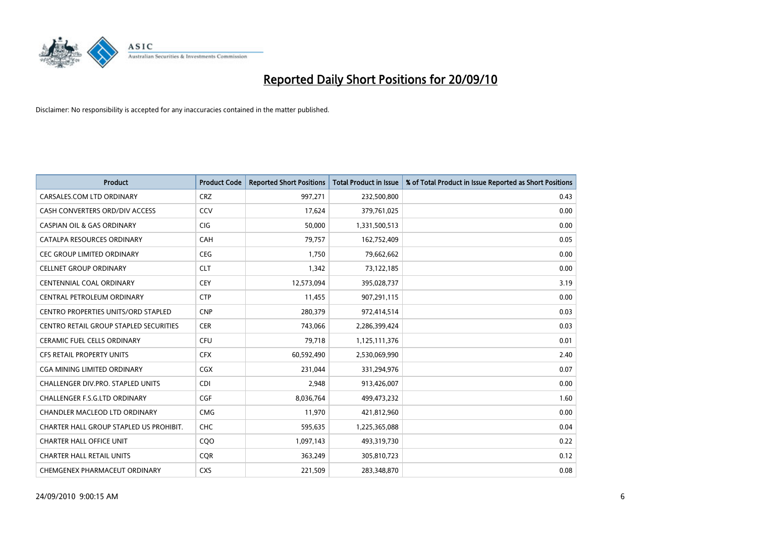

| <b>Product</b>                                | <b>Product Code</b> | <b>Reported Short Positions</b> | <b>Total Product in Issue</b> | % of Total Product in Issue Reported as Short Positions |
|-----------------------------------------------|---------------------|---------------------------------|-------------------------------|---------------------------------------------------------|
| CARSALES.COM LTD ORDINARY                     | <b>CRZ</b>          | 997,271                         | 232,500,800                   | 0.43                                                    |
| CASH CONVERTERS ORD/DIV ACCESS                | CCV                 | 17,624                          | 379,761,025                   | 0.00                                                    |
| <b>CASPIAN OIL &amp; GAS ORDINARY</b>         | CIG                 | 50,000                          | 1,331,500,513                 | 0.00                                                    |
| CATALPA RESOURCES ORDINARY                    | CAH                 | 79,757                          | 162,752,409                   | 0.05                                                    |
| CEC GROUP LIMITED ORDINARY                    | <b>CEG</b>          | 1,750                           | 79,662,662                    | 0.00                                                    |
| <b>CELLNET GROUP ORDINARY</b>                 | <b>CLT</b>          | 1,342                           | 73,122,185                    | 0.00                                                    |
| <b>CENTENNIAL COAL ORDINARY</b>               | <b>CEY</b>          | 12,573,094                      | 395,028,737                   | 3.19                                                    |
| CENTRAL PETROLEUM ORDINARY                    | <b>CTP</b>          | 11,455                          | 907,291,115                   | 0.00                                                    |
| CENTRO PROPERTIES UNITS/ORD STAPLED           | <b>CNP</b>          | 280,379                         | 972,414,514                   | 0.03                                                    |
| <b>CENTRO RETAIL GROUP STAPLED SECURITIES</b> | <b>CER</b>          | 743,066                         | 2,286,399,424                 | 0.03                                                    |
| <b>CERAMIC FUEL CELLS ORDINARY</b>            | CFU                 | 79,718                          | 1,125,111,376                 | 0.01                                                    |
| <b>CFS RETAIL PROPERTY UNITS</b>              | <b>CFX</b>          | 60,592,490                      | 2,530,069,990                 | 2.40                                                    |
| <b>CGA MINING LIMITED ORDINARY</b>            | <b>CGX</b>          | 231.044                         | 331,294,976                   | 0.07                                                    |
| <b>CHALLENGER DIV.PRO. STAPLED UNITS</b>      | <b>CDI</b>          | 2,948                           | 913,426,007                   | 0.00                                                    |
| CHALLENGER F.S.G.LTD ORDINARY                 | CGF                 | 8,036,764                       | 499,473,232                   | 1.60                                                    |
| CHANDLER MACLEOD LTD ORDINARY                 | <b>CMG</b>          | 11,970                          | 421,812,960                   | 0.00                                                    |
| CHARTER HALL GROUP STAPLED US PROHIBIT.       | <b>CHC</b>          | 595,635                         | 1,225,365,088                 | 0.04                                                    |
| <b>CHARTER HALL OFFICE UNIT</b>               | COO                 | 1,097,143                       | 493,319,730                   | 0.22                                                    |
| <b>CHARTER HALL RETAIL UNITS</b>              | <b>COR</b>          | 363,249                         | 305,810,723                   | 0.12                                                    |
| CHEMGENEX PHARMACEUT ORDINARY                 | <b>CXS</b>          | 221,509                         | 283,348,870                   | 0.08                                                    |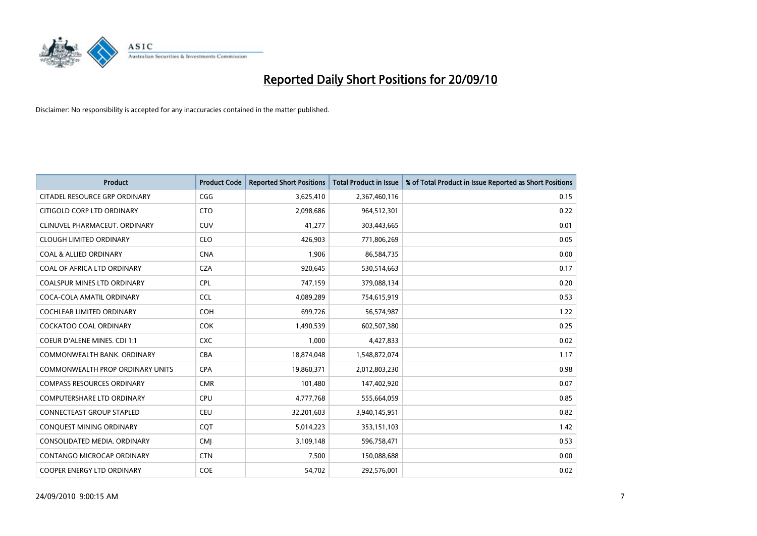

| <b>Product</b>                          | <b>Product Code</b> | <b>Reported Short Positions</b> | <b>Total Product in Issue</b> | % of Total Product in Issue Reported as Short Positions |
|-----------------------------------------|---------------------|---------------------------------|-------------------------------|---------------------------------------------------------|
| CITADEL RESOURCE GRP ORDINARY           | CGG                 | 3,625,410                       | 2,367,460,116                 | 0.15                                                    |
| CITIGOLD CORP LTD ORDINARY              | <b>CTO</b>          | 2,098,686                       | 964,512,301                   | 0.22                                                    |
| CLINUVEL PHARMACEUT, ORDINARY           | <b>CUV</b>          | 41,277                          | 303,443,665                   | 0.01                                                    |
| <b>CLOUGH LIMITED ORDINARY</b>          | <b>CLO</b>          | 426,903                         | 771,806,269                   | 0.05                                                    |
| <b>COAL &amp; ALLIED ORDINARY</b>       | <b>CNA</b>          | 1,906                           | 86,584,735                    | 0.00                                                    |
| COAL OF AFRICA LTD ORDINARY             | <b>CZA</b>          | 920,645                         | 530,514,663                   | 0.17                                                    |
| <b>COALSPUR MINES LTD ORDINARY</b>      | <b>CPL</b>          | 747,159                         | 379,088,134                   | 0.20                                                    |
| COCA-COLA AMATIL ORDINARY               | <b>CCL</b>          | 4,089,289                       | 754,615,919                   | 0.53                                                    |
| COCHLEAR LIMITED ORDINARY               | COH                 | 699,726                         | 56,574,987                    | 1.22                                                    |
| <b>COCKATOO COAL ORDINARY</b>           | <b>COK</b>          | 1,490,539                       | 602,507,380                   | 0.25                                                    |
| <b>COEUR D'ALENE MINES. CDI 1:1</b>     | <b>CXC</b>          | 1,000                           | 4,427,833                     | 0.02                                                    |
| COMMONWEALTH BANK, ORDINARY             | CBA                 | 18,874,048                      | 1,548,872,074                 | 1.17                                                    |
| <b>COMMONWEALTH PROP ORDINARY UNITS</b> | <b>CPA</b>          | 19,860,371                      | 2,012,803,230                 | 0.98                                                    |
| <b>COMPASS RESOURCES ORDINARY</b>       | <b>CMR</b>          | 101,480                         | 147,402,920                   | 0.07                                                    |
| <b>COMPUTERSHARE LTD ORDINARY</b>       | <b>CPU</b>          | 4,777,768                       | 555,664,059                   | 0.85                                                    |
| <b>CONNECTEAST GROUP STAPLED</b>        | CEU                 | 32,201,603                      | 3,940,145,951                 | 0.82                                                    |
| CONQUEST MINING ORDINARY                | CQT                 | 5,014,223                       | 353,151,103                   | 1.42                                                    |
| CONSOLIDATED MEDIA. ORDINARY            | <b>CMI</b>          | 3,109,148                       | 596,758,471                   | 0.53                                                    |
| CONTANGO MICROCAP ORDINARY              | <b>CTN</b>          | 7,500                           | 150,088,688                   | 0.00                                                    |
| COOPER ENERGY LTD ORDINARY              | COE                 | 54,702                          | 292,576,001                   | 0.02                                                    |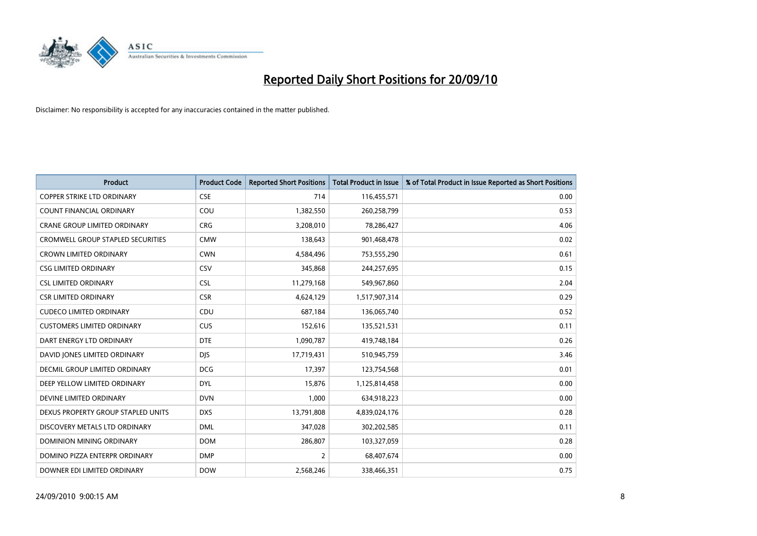

| <b>Product</b>                      | <b>Product Code</b> | <b>Reported Short Positions</b> | Total Product in Issue | % of Total Product in Issue Reported as Short Positions |
|-------------------------------------|---------------------|---------------------------------|------------------------|---------------------------------------------------------|
| <b>COPPER STRIKE LTD ORDINARY</b>   | <b>CSE</b>          | 714                             | 116,455,571            | 0.00                                                    |
| COUNT FINANCIAL ORDINARY            | COU                 | 1,382,550                       | 260,258,799            | 0.53                                                    |
| <b>CRANE GROUP LIMITED ORDINARY</b> | <b>CRG</b>          | 3,208,010                       | 78,286,427             | 4.06                                                    |
| CROMWELL GROUP STAPLED SECURITIES   | <b>CMW</b>          | 138,643                         | 901,468,478            | 0.02                                                    |
| <b>CROWN LIMITED ORDINARY</b>       | <b>CWN</b>          | 4,584,496                       | 753,555,290            | 0.61                                                    |
| <b>CSG LIMITED ORDINARY</b>         | CSV                 | 345,868                         | 244,257,695            | 0.15                                                    |
| <b>CSL LIMITED ORDINARY</b>         | <b>CSL</b>          | 11,279,168                      | 549,967,860            | 2.04                                                    |
| <b>CSR LIMITED ORDINARY</b>         | <b>CSR</b>          | 4,624,129                       | 1,517,907,314          | 0.29                                                    |
| <b>CUDECO LIMITED ORDINARY</b>      | CDU                 | 687,184                         | 136,065,740            | 0.52                                                    |
| <b>CUSTOMERS LIMITED ORDINARY</b>   | CUS                 | 152,616                         | 135,521,531            | 0.11                                                    |
| DART ENERGY LTD ORDINARY            | <b>DTE</b>          | 1,090,787                       | 419,748,184            | 0.26                                                    |
| DAVID JONES LIMITED ORDINARY        | <b>DJS</b>          | 17,719,431                      | 510,945,759            | 3.46                                                    |
| DECMIL GROUP LIMITED ORDINARY       | <b>DCG</b>          | 17,397                          | 123,754,568            | 0.01                                                    |
| DEEP YELLOW LIMITED ORDINARY        | <b>DYL</b>          | 15,876                          | 1,125,814,458          | 0.00                                                    |
| DEVINE LIMITED ORDINARY             | <b>DVN</b>          | 1,000                           | 634,918,223            | 0.00                                                    |
| DEXUS PROPERTY GROUP STAPLED UNITS  | <b>DXS</b>          | 13,791,808                      | 4,839,024,176          | 0.28                                                    |
| DISCOVERY METALS LTD ORDINARY       | <b>DML</b>          | 347,028                         | 302,202,585            | 0.11                                                    |
| DOMINION MINING ORDINARY            | <b>DOM</b>          | 286,807                         | 103,327,059            | 0.28                                                    |
| DOMINO PIZZA ENTERPR ORDINARY       | <b>DMP</b>          | 2                               | 68,407,674             | 0.00                                                    |
| DOWNER EDI LIMITED ORDINARY         | <b>DOW</b>          | 2,568,246                       | 338,466,351            | 0.75                                                    |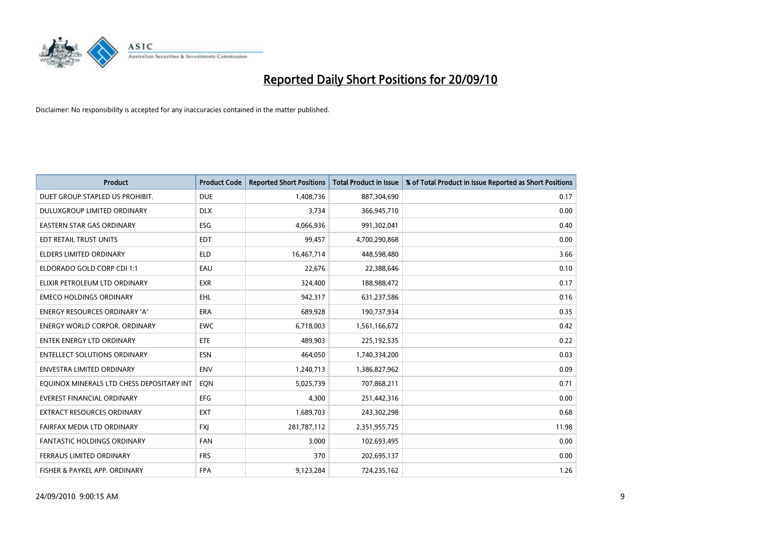

| <b>Product</b>                            | <b>Product Code</b> | <b>Reported Short Positions</b> | <b>Total Product in Issue</b> | % of Total Product in Issue Reported as Short Positions |
|-------------------------------------------|---------------------|---------------------------------|-------------------------------|---------------------------------------------------------|
| DUET GROUP STAPLED US PROHIBIT.           | <b>DUE</b>          | 1,408,736                       | 887,304,690                   | 0.17                                                    |
| DULUXGROUP LIMITED ORDINARY               | <b>DLX</b>          | 3,734                           | 366,945,710                   | 0.00                                                    |
| <b>EASTERN STAR GAS ORDINARY</b>          | ESG                 | 4,066,936                       | 991,302,041                   | 0.40                                                    |
| EDT RETAIL TRUST UNITS                    | <b>EDT</b>          | 99,457                          | 4,700,290,868                 | 0.00                                                    |
| <b>ELDERS LIMITED ORDINARY</b>            | <b>ELD</b>          | 16,467,714                      | 448,598,480                   | 3.66                                                    |
| ELDORADO GOLD CORP CDI 1:1                | EAU                 | 22,676                          | 22,388,646                    | 0.10                                                    |
| ELIXIR PETROLEUM LTD ORDINARY             | <b>EXR</b>          | 324,400                         | 188,988,472                   | 0.17                                                    |
| <b>EMECO HOLDINGS ORDINARY</b>            | <b>EHL</b>          | 942,317                         | 631,237,586                   | 0.16                                                    |
| ENERGY RESOURCES ORDINARY 'A'             | ERA                 | 689,928                         | 190,737,934                   | 0.35                                                    |
| <b>ENERGY WORLD CORPOR, ORDINARY</b>      | <b>EWC</b>          | 6,718,003                       | 1,561,166,672                 | 0.42                                                    |
| ENTEK ENERGY LTD ORDINARY                 | <b>ETE</b>          | 489,903                         | 225,192,535                   | 0.22                                                    |
| <b>ENTELLECT SOLUTIONS ORDINARY</b>       | <b>ESN</b>          | 464,050                         | 1,740,334,200                 | 0.03                                                    |
| <b>ENVESTRA LIMITED ORDINARY</b>          | <b>ENV</b>          | 1,240,713                       | 1,386,827,962                 | 0.09                                                    |
| EQUINOX MINERALS LTD CHESS DEPOSITARY INT | EON                 | 5,025,739                       | 707,868,211                   | 0.71                                                    |
| <b>EVEREST FINANCIAL ORDINARY</b>         | <b>EFG</b>          | 4,300                           | 251,442,316                   | 0.00                                                    |
| <b>EXTRACT RESOURCES ORDINARY</b>         | <b>EXT</b>          | 1,689,703                       | 243,302,298                   | 0.68                                                    |
| FAIRFAX MEDIA LTD ORDINARY                | <b>FXI</b>          | 281,787,112                     | 2,351,955,725                 | 11.98                                                   |
| <b>FANTASTIC HOLDINGS ORDINARY</b>        | <b>FAN</b>          | 3,000                           | 102,693,495                   | 0.00                                                    |
| FERRAUS LIMITED ORDINARY                  | <b>FRS</b>          | 370                             | 202,695,137                   | 0.00                                                    |
| FISHER & PAYKEL APP. ORDINARY             | <b>FPA</b>          | 9,123,284                       | 724,235,162                   | 1.26                                                    |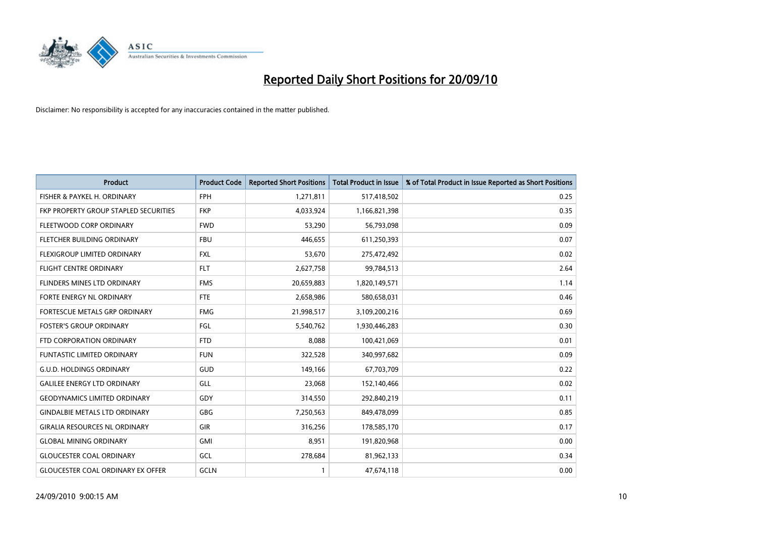

| <b>Product</b>                           | <b>Product Code</b> | <b>Reported Short Positions</b> | <b>Total Product in Issue</b> | % of Total Product in Issue Reported as Short Positions |
|------------------------------------------|---------------------|---------------------------------|-------------------------------|---------------------------------------------------------|
| FISHER & PAYKEL H. ORDINARY              | <b>FPH</b>          | 1,271,811                       | 517,418,502                   | 0.25                                                    |
| FKP PROPERTY GROUP STAPLED SECURITIES    | <b>FKP</b>          | 4,033,924                       | 1,166,821,398                 | 0.35                                                    |
| FLEETWOOD CORP ORDINARY                  | <b>FWD</b>          | 53,290                          | 56,793,098                    | 0.09                                                    |
| FLETCHER BUILDING ORDINARY               | <b>FBU</b>          | 446,655                         | 611,250,393                   | 0.07                                                    |
| FLEXIGROUP LIMITED ORDINARY              | <b>FXL</b>          | 53,670                          | 275,472,492                   | 0.02                                                    |
| <b>FLIGHT CENTRE ORDINARY</b>            | <b>FLT</b>          | 2,627,758                       | 99,784,513                    | 2.64                                                    |
| <b>FLINDERS MINES LTD ORDINARY</b>       | <b>FMS</b>          | 20,659,883                      | 1,820,149,571                 | 1.14                                                    |
| <b>FORTE ENERGY NL ORDINARY</b>          | <b>FTE</b>          | 2,658,986                       | 580,658,031                   | 0.46                                                    |
| FORTESCUE METALS GRP ORDINARY            | <b>FMG</b>          | 21,998,517                      | 3,109,200,216                 | 0.69                                                    |
| <b>FOSTER'S GROUP ORDINARY</b>           | <b>FGL</b>          | 5,540,762                       | 1,930,446,283                 | 0.30                                                    |
| FTD CORPORATION ORDINARY                 | <b>FTD</b>          | 8,088                           | 100,421,069                   | 0.01                                                    |
| <b>FUNTASTIC LIMITED ORDINARY</b>        | <b>FUN</b>          | 322,528                         | 340,997,682                   | 0.09                                                    |
| <b>G.U.D. HOLDINGS ORDINARY</b>          | GUD                 | 149,166                         | 67,703,709                    | 0.22                                                    |
| <b>GALILEE ENERGY LTD ORDINARY</b>       | GLL                 | 23,068                          | 152,140,466                   | 0.02                                                    |
| <b>GEODYNAMICS LIMITED ORDINARY</b>      | GDY                 | 314,550                         | 292,840,219                   | 0.11                                                    |
| <b>GINDALBIE METALS LTD ORDINARY</b>     | <b>GBG</b>          | 7,250,563                       | 849,478,099                   | 0.85                                                    |
| <b>GIRALIA RESOURCES NL ORDINARY</b>     | GIR                 | 316,256                         | 178,585,170                   | 0.17                                                    |
| <b>GLOBAL MINING ORDINARY</b>            | <b>GMI</b>          | 8,951                           | 191,820,968                   | 0.00                                                    |
| <b>GLOUCESTER COAL ORDINARY</b>          | GCL                 | 278,684                         | 81,962,133                    | 0.34                                                    |
| <b>GLOUCESTER COAL ORDINARY EX OFFER</b> | GCLN                |                                 | 47,674,118                    | 0.00                                                    |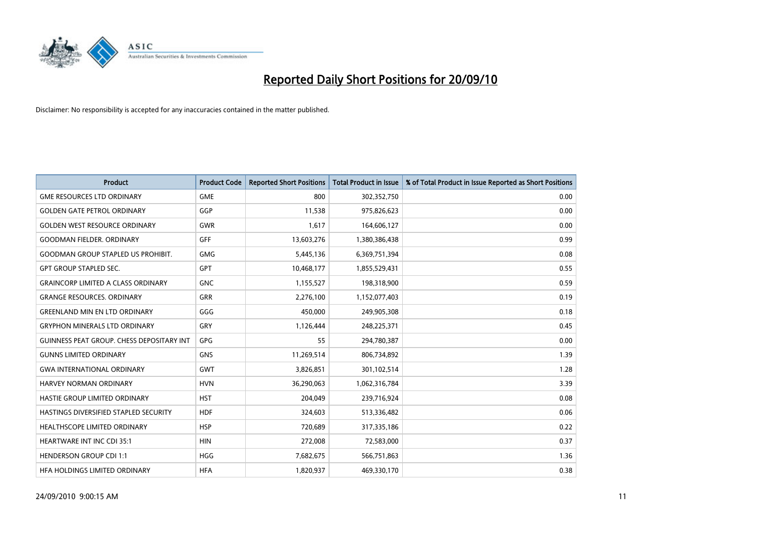

| <b>Product</b>                                   | <b>Product Code</b> | <b>Reported Short Positions</b> | <b>Total Product in Issue</b> | % of Total Product in Issue Reported as Short Positions |
|--------------------------------------------------|---------------------|---------------------------------|-------------------------------|---------------------------------------------------------|
| <b>GME RESOURCES LTD ORDINARY</b>                | <b>GME</b>          | 800                             | 302,352,750                   | 0.00                                                    |
| <b>GOLDEN GATE PETROL ORDINARY</b>               | GGP                 | 11,538                          | 975,826,623                   | 0.00                                                    |
| <b>GOLDEN WEST RESOURCE ORDINARY</b>             | <b>GWR</b>          | 1,617                           | 164,606,127                   | 0.00                                                    |
| <b>GOODMAN FIELDER. ORDINARY</b>                 | <b>GFF</b>          | 13,603,276                      | 1,380,386,438                 | 0.99                                                    |
| <b>GOODMAN GROUP STAPLED US PROHIBIT.</b>        | <b>GMG</b>          | 5,445,136                       | 6,369,751,394                 | 0.08                                                    |
| <b>GPT GROUP STAPLED SEC.</b>                    | <b>GPT</b>          | 10,468,177                      | 1,855,529,431                 | 0.55                                                    |
| <b>GRAINCORP LIMITED A CLASS ORDINARY</b>        | <b>GNC</b>          | 1,155,527                       | 198,318,900                   | 0.59                                                    |
| <b>GRANGE RESOURCES, ORDINARY</b>                | <b>GRR</b>          | 2,276,100                       | 1,152,077,403                 | 0.19                                                    |
| <b>GREENLAND MIN EN LTD ORDINARY</b>             | GGG                 | 450,000                         | 249,905,308                   | 0.18                                                    |
| <b>GRYPHON MINERALS LTD ORDINARY</b>             | GRY                 | 1,126,444                       | 248,225,371                   | 0.45                                                    |
| <b>GUINNESS PEAT GROUP. CHESS DEPOSITARY INT</b> | GPG                 | 55                              | 294,780,387                   | 0.00                                                    |
| <b>GUNNS LIMITED ORDINARY</b>                    | <b>GNS</b>          | 11,269,514                      | 806,734,892                   | 1.39                                                    |
| <b>GWA INTERNATIONAL ORDINARY</b>                | <b>GWT</b>          | 3,826,851                       | 301,102,514                   | 1.28                                                    |
| <b>HARVEY NORMAN ORDINARY</b>                    | <b>HVN</b>          | 36,290,063                      | 1,062,316,784                 | 3.39                                                    |
| HASTIE GROUP LIMITED ORDINARY                    | <b>HST</b>          | 204,049                         | 239,716,924                   | 0.08                                                    |
| HASTINGS DIVERSIFIED STAPLED SECURITY            | <b>HDF</b>          | 324,603                         | 513,336,482                   | 0.06                                                    |
| HEALTHSCOPE LIMITED ORDINARY                     | <b>HSP</b>          | 720,689                         | 317,335,186                   | 0.22                                                    |
| <b>HEARTWARE INT INC CDI 35:1</b>                | <b>HIN</b>          | 272,008                         | 72,583,000                    | 0.37                                                    |
| <b>HENDERSON GROUP CDI 1:1</b>                   | <b>HGG</b>          | 7,682,675                       | 566,751,863                   | 1.36                                                    |
| HEA HOLDINGS LIMITED ORDINARY                    | <b>HFA</b>          | 1,820,937                       | 469,330,170                   | 0.38                                                    |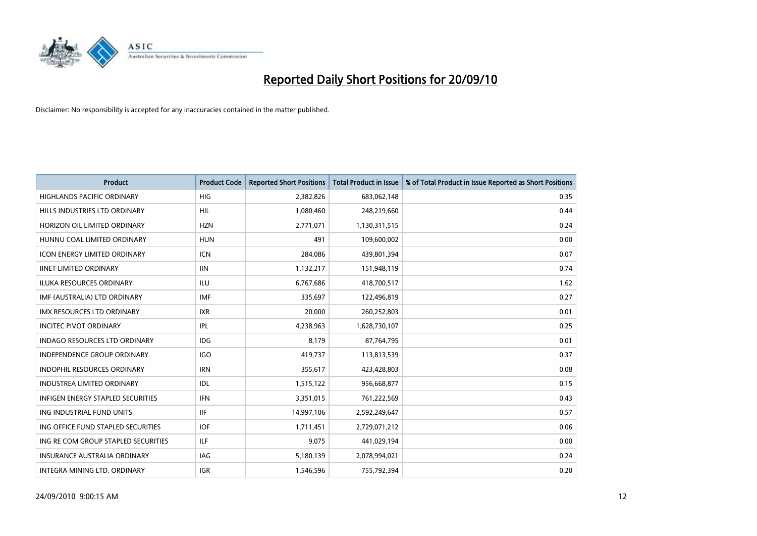

| <b>Product</b>                           | <b>Product Code</b> | <b>Reported Short Positions</b> | <b>Total Product in Issue</b> | % of Total Product in Issue Reported as Short Positions |
|------------------------------------------|---------------------|---------------------------------|-------------------------------|---------------------------------------------------------|
| <b>HIGHLANDS PACIFIC ORDINARY</b>        | <b>HIG</b>          | 2,382,826                       | 683,062,148                   | 0.35                                                    |
| HILLS INDUSTRIES LTD ORDINARY            | <b>HIL</b>          | 1,080,460                       | 248,219,660                   | 0.44                                                    |
| HORIZON OIL LIMITED ORDINARY             | <b>HZN</b>          | 2,771,071                       | 1,130,311,515                 | 0.24                                                    |
| HUNNU COAL LIMITED ORDINARY              | <b>HUN</b>          | 491                             | 109,600,002                   | 0.00                                                    |
| <b>ICON ENERGY LIMITED ORDINARY</b>      | <b>ICN</b>          | 284,086                         | 439,801,394                   | 0.07                                                    |
| <b>IINET LIMITED ORDINARY</b>            | <b>IIN</b>          | 1,132,217                       | 151,948,119                   | 0.74                                                    |
| ILUKA RESOURCES ORDINARY                 | <b>ILU</b>          | 6,767,686                       | 418,700,517                   | 1.62                                                    |
| IMF (AUSTRALIA) LTD ORDINARY             | <b>IMF</b>          | 335,697                         | 122,496,819                   | 0.27                                                    |
| <b>IMX RESOURCES LTD ORDINARY</b>        | <b>IXR</b>          | 20,000                          | 260,252,803                   | 0.01                                                    |
| <b>INCITEC PIVOT ORDINARY</b>            | <b>IPL</b>          | 4,238,963                       | 1,628,730,107                 | 0.25                                                    |
| INDAGO RESOURCES LTD ORDINARY            | <b>IDG</b>          | 8,179                           | 87,764,795                    | 0.01                                                    |
| <b>INDEPENDENCE GROUP ORDINARY</b>       | <b>IGO</b>          | 419,737                         | 113,813,539                   | 0.37                                                    |
| INDOPHIL RESOURCES ORDINARY              | <b>IRN</b>          | 355,617                         | 423,428,803                   | 0.08                                                    |
| <b>INDUSTREA LIMITED ORDINARY</b>        | IDL                 | 1,515,122                       | 956,668,877                   | 0.15                                                    |
| <b>INFIGEN ENERGY STAPLED SECURITIES</b> | <b>IFN</b>          | 3,351,015                       | 761,222,569                   | 0.43                                                    |
| ING INDUSTRIAL FUND UNITS                | <b>IIF</b>          | 14,997,106                      | 2,592,249,647                 | 0.57                                                    |
| ING OFFICE FUND STAPLED SECURITIES       | <b>IOF</b>          | 1,711,451                       | 2,729,071,212                 | 0.06                                                    |
| ING RE COM GROUP STAPLED SECURITIES      | <b>ILF</b>          | 9,075                           | 441,029,194                   | 0.00                                                    |
| INSURANCE AUSTRALIA ORDINARY             | <b>IAG</b>          | 5,180,139                       | 2,078,994,021                 | 0.24                                                    |
| INTEGRA MINING LTD. ORDINARY             | <b>IGR</b>          | 1,546,596                       | 755,792,394                   | 0.20                                                    |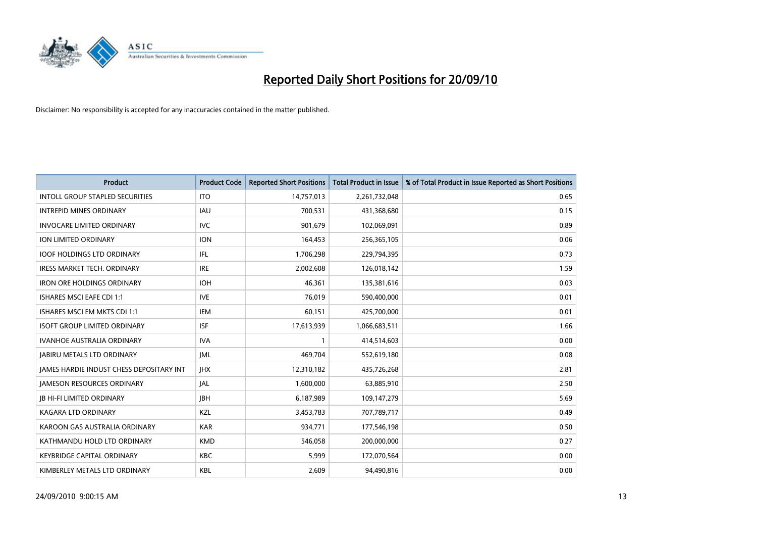

| <b>Product</b>                                  | <b>Product Code</b> | <b>Reported Short Positions</b> | <b>Total Product in Issue</b> | % of Total Product in Issue Reported as Short Positions |
|-------------------------------------------------|---------------------|---------------------------------|-------------------------------|---------------------------------------------------------|
| <b>INTOLL GROUP STAPLED SECURITIES</b>          | <b>ITO</b>          | 14,757,013                      | 2,261,732,048                 | 0.65                                                    |
| <b>INTREPID MINES ORDINARY</b>                  | <b>IAU</b>          | 700,531                         | 431,368,680                   | 0.15                                                    |
| <b>INVOCARE LIMITED ORDINARY</b>                | <b>IVC</b>          | 901,679                         | 102,069,091                   | 0.89                                                    |
| ION LIMITED ORDINARY                            | <b>ION</b>          | 164,453                         | 256,365,105                   | 0.06                                                    |
| <b>IOOF HOLDINGS LTD ORDINARY</b>               | IFL.                | 1,706,298                       | 229,794,395                   | 0.73                                                    |
| <b>IRESS MARKET TECH. ORDINARY</b>              | <b>IRE</b>          | 2,002,608                       | 126,018,142                   | 1.59                                                    |
| <b>IRON ORE HOLDINGS ORDINARY</b>               | <b>IOH</b>          | 46,361                          | 135,381,616                   | 0.03                                                    |
| ISHARES MSCI EAFE CDI 1:1                       | <b>IVE</b>          | 76,019                          | 590,400,000                   | 0.01                                                    |
| ISHARES MSCI EM MKTS CDI 1:1                    | <b>IEM</b>          | 60,151                          | 425,700,000                   | 0.01                                                    |
| <b>ISOFT GROUP LIMITED ORDINARY</b>             | <b>ISF</b>          | 17,613,939                      | 1,066,683,511                 | 1.66                                                    |
| <b>IVANHOE AUSTRALIA ORDINARY</b>               | <b>IVA</b>          |                                 | 414,514,603                   | 0.00                                                    |
| <b>JABIRU METALS LTD ORDINARY</b>               | <b>JML</b>          | 469,704                         | 552,619,180                   | 0.08                                                    |
| <b>JAMES HARDIE INDUST CHESS DEPOSITARY INT</b> | <b>IHX</b>          | 12,310,182                      | 435,726,268                   | 2.81                                                    |
| <b>JAMESON RESOURCES ORDINARY</b>               | <b>JAL</b>          | 1,600,000                       | 63,885,910                    | 2.50                                                    |
| <b>JB HI-FI LIMITED ORDINARY</b>                | <b>IBH</b>          | 6,187,989                       | 109,147,279                   | 5.69                                                    |
| <b>KAGARA LTD ORDINARY</b>                      | KZL                 | 3,453,783                       | 707,789,717                   | 0.49                                                    |
| KAROON GAS AUSTRALIA ORDINARY                   | <b>KAR</b>          | 934,771                         | 177,546,198                   | 0.50                                                    |
| KATHMANDU HOLD LTD ORDINARY                     | <b>KMD</b>          | 546,058                         | 200,000,000                   | 0.27                                                    |
| <b>KEYBRIDGE CAPITAL ORDINARY</b>               | <b>KBC</b>          | 5,999                           | 172,070,564                   | 0.00                                                    |
| KIMBERLEY METALS LTD ORDINARY                   | <b>KBL</b>          | 2,609                           | 94,490,816                    | 0.00                                                    |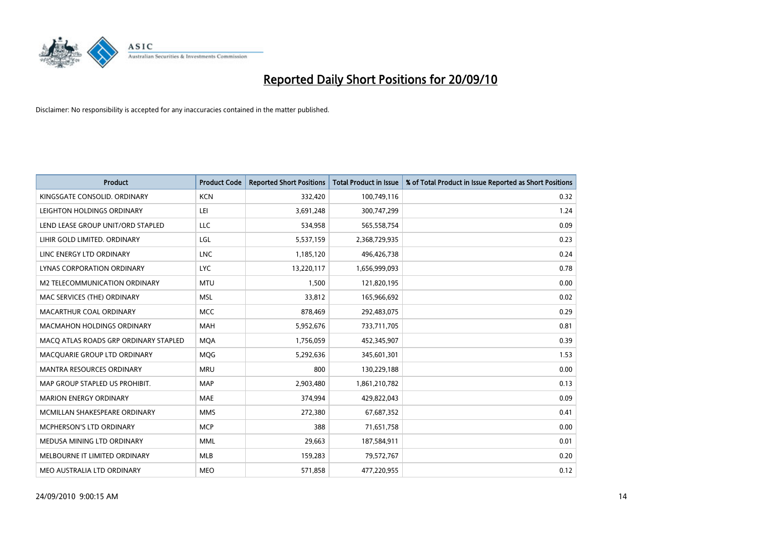

| <b>Product</b>                        | <b>Product Code</b> | <b>Reported Short Positions</b> | <b>Total Product in Issue</b> | % of Total Product in Issue Reported as Short Positions |
|---------------------------------------|---------------------|---------------------------------|-------------------------------|---------------------------------------------------------|
| KINGSGATE CONSOLID. ORDINARY          | <b>KCN</b>          | 332,420                         | 100,749,116                   | 0.32                                                    |
| LEIGHTON HOLDINGS ORDINARY            | LEI                 | 3,691,248                       | 300,747,299                   | 1.24                                                    |
| LEND LEASE GROUP UNIT/ORD STAPLED     | LLC                 | 534.958                         | 565,558,754                   | 0.09                                                    |
| LIHIR GOLD LIMITED. ORDINARY          | LGL                 | 5,537,159                       | 2,368,729,935                 | 0.23                                                    |
| LINC ENERGY LTD ORDINARY              | <b>LNC</b>          | 1,185,120                       | 496,426,738                   | 0.24                                                    |
| LYNAS CORPORATION ORDINARY            | <b>LYC</b>          | 13,220,117                      | 1,656,999,093                 | 0.78                                                    |
| M2 TELECOMMUNICATION ORDINARY         | <b>MTU</b>          | 1,500                           | 121,820,195                   | 0.00                                                    |
| MAC SERVICES (THE) ORDINARY           | <b>MSL</b>          | 33,812                          | 165,966,692                   | 0.02                                                    |
| MACARTHUR COAL ORDINARY               | <b>MCC</b>          | 878,469                         | 292,483,075                   | 0.29                                                    |
| <b>MACMAHON HOLDINGS ORDINARY</b>     | <b>MAH</b>          | 5,952,676                       | 733,711,705                   | 0.81                                                    |
| MACQ ATLAS ROADS GRP ORDINARY STAPLED | <b>MOA</b>          | 1,756,059                       | 452,345,907                   | 0.39                                                    |
| MACQUARIE GROUP LTD ORDINARY          | MQG                 | 5,292,636                       | 345,601,301                   | 1.53                                                    |
| <b>MANTRA RESOURCES ORDINARY</b>      | <b>MRU</b>          | 800                             | 130,229,188                   | 0.00                                                    |
| MAP GROUP STAPLED US PROHIBIT.        | <b>MAP</b>          | 2,903,480                       | 1,861,210,782                 | 0.13                                                    |
| <b>MARION ENERGY ORDINARY</b>         | <b>MAE</b>          | 374,994                         | 429,822,043                   | 0.09                                                    |
| MCMILLAN SHAKESPEARE ORDINARY         | <b>MMS</b>          | 272,380                         | 67,687,352                    | 0.41                                                    |
| MCPHERSON'S LTD ORDINARY              | <b>MCP</b>          | 388                             | 71,651,758                    | 0.00                                                    |
| MEDUSA MINING LTD ORDINARY            | <b>MML</b>          | 29,663                          | 187,584,911                   | 0.01                                                    |
| MELBOURNE IT LIMITED ORDINARY         | <b>MLB</b>          | 159,283                         | 79,572,767                    | 0.20                                                    |
| MEO AUSTRALIA LTD ORDINARY            | <b>MEO</b>          | 571,858                         | 477,220,955                   | 0.12                                                    |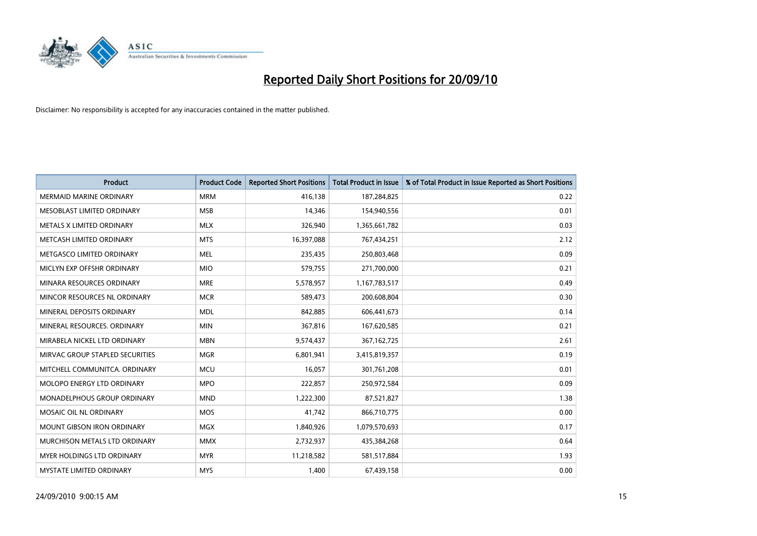

| <b>Product</b>                  | <b>Product Code</b> | <b>Reported Short Positions</b> | <b>Total Product in Issue</b> | % of Total Product in Issue Reported as Short Positions |
|---------------------------------|---------------------|---------------------------------|-------------------------------|---------------------------------------------------------|
| <b>MERMAID MARINE ORDINARY</b>  | <b>MRM</b>          | 416,138                         | 187,284,825                   | 0.22                                                    |
| MESOBLAST LIMITED ORDINARY      | <b>MSB</b>          | 14,346                          | 154,940,556                   | 0.01                                                    |
| METALS X LIMITED ORDINARY       | <b>MLX</b>          | 326,940                         | 1,365,661,782                 | 0.03                                                    |
| METCASH LIMITED ORDINARY        | <b>MTS</b>          | 16,397,088                      | 767,434,251                   | 2.12                                                    |
| METGASCO LIMITED ORDINARY       | <b>MEL</b>          | 235,435                         | 250,803,468                   | 0.09                                                    |
| MICLYN EXP OFFSHR ORDINARY      | <b>MIO</b>          | 579,755                         | 271,700,000                   | 0.21                                                    |
| MINARA RESOURCES ORDINARY       | <b>MRE</b>          | 5,578,957                       | 1,167,783,517                 | 0.49                                                    |
| MINCOR RESOURCES NL ORDINARY    | <b>MCR</b>          | 589,473                         | 200,608,804                   | 0.30                                                    |
| MINERAL DEPOSITS ORDINARY       | <b>MDL</b>          | 842,885                         | 606,441,673                   | 0.14                                                    |
| MINERAL RESOURCES, ORDINARY     | <b>MIN</b>          | 367,816                         | 167,620,585                   | 0.21                                                    |
| MIRABELA NICKEL LTD ORDINARY    | <b>MBN</b>          | 9,574,437                       | 367, 162, 725                 | 2.61                                                    |
| MIRVAC GROUP STAPLED SECURITIES | <b>MGR</b>          | 6,801,941                       | 3,415,819,357                 | 0.19                                                    |
| MITCHELL COMMUNITCA. ORDINARY   | <b>MCU</b>          | 16,057                          | 301,761,208                   | 0.01                                                    |
| MOLOPO ENERGY LTD ORDINARY      | <b>MPO</b>          | 222,857                         | 250,972,584                   | 0.09                                                    |
| MONADELPHOUS GROUP ORDINARY     | <b>MND</b>          | 1,222,300                       | 87,521,827                    | 1.38                                                    |
| MOSAIC OIL NL ORDINARY          | <b>MOS</b>          | 41,742                          | 866,710,775                   | 0.00                                                    |
| MOUNT GIBSON IRON ORDINARY      | <b>MGX</b>          | 1,840,926                       | 1,079,570,693                 | 0.17                                                    |
| MURCHISON METALS LTD ORDINARY   | <b>MMX</b>          | 2,732,937                       | 435,384,268                   | 0.64                                                    |
| MYER HOLDINGS LTD ORDINARY      | <b>MYR</b>          | 11,218,582                      | 581,517,884                   | 1.93                                                    |
| MYSTATE LIMITED ORDINARY        | <b>MYS</b>          | 1,400                           | 67,439,158                    | 0.00                                                    |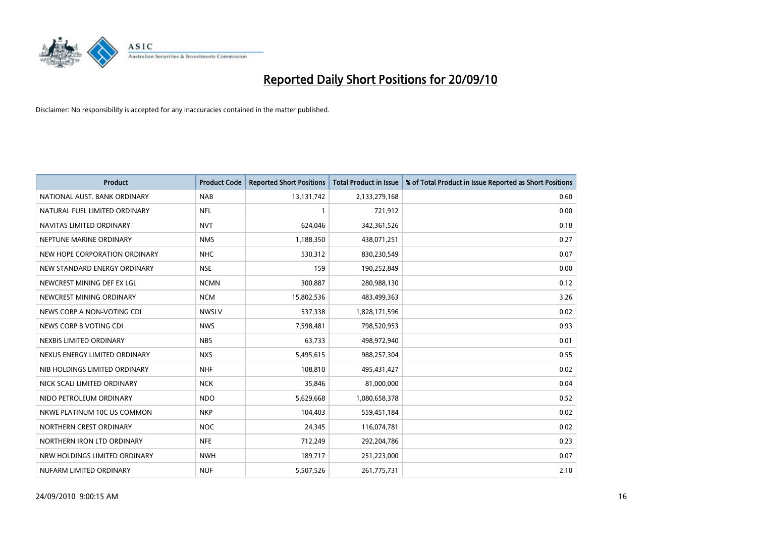

| <b>Product</b>                | <b>Product Code</b> | <b>Reported Short Positions</b> | <b>Total Product in Issue</b> | % of Total Product in Issue Reported as Short Positions |
|-------------------------------|---------------------|---------------------------------|-------------------------------|---------------------------------------------------------|
| NATIONAL AUST. BANK ORDINARY  | <b>NAB</b>          | 13,131,742                      | 2,133,279,168                 | 0.60                                                    |
| NATURAL FUEL LIMITED ORDINARY | <b>NFL</b>          |                                 | 721,912                       | 0.00                                                    |
| NAVITAS LIMITED ORDINARY      | <b>NVT</b>          | 624,046                         | 342,361,526                   | 0.18                                                    |
| NEPTUNE MARINE ORDINARY       | <b>NMS</b>          | 1,188,350                       | 438,071,251                   | 0.27                                                    |
| NEW HOPE CORPORATION ORDINARY | <b>NHC</b>          | 530,312                         | 830,230,549                   | 0.07                                                    |
| NEW STANDARD ENERGY ORDINARY  | <b>NSE</b>          | 159                             | 190,252,849                   | 0.00                                                    |
| NEWCREST MINING DEF EX LGL    | <b>NCMN</b>         | 300,887                         | 280,988,130                   | 0.12                                                    |
| NEWCREST MINING ORDINARY      | <b>NCM</b>          | 15,802,536                      | 483,499,363                   | 3.26                                                    |
| NEWS CORP A NON-VOTING CDI    | <b>NWSLV</b>        | 537,338                         | 1,828,171,596                 | 0.02                                                    |
| NEWS CORP B VOTING CDI        | <b>NWS</b>          | 7,598,481                       | 798,520,953                   | 0.93                                                    |
| NEXBIS LIMITED ORDINARY       | <b>NBS</b>          | 63,733                          | 498,972,940                   | 0.01                                                    |
| NEXUS ENERGY LIMITED ORDINARY | <b>NXS</b>          | 5,495,615                       | 988,257,304                   | 0.55                                                    |
| NIB HOLDINGS LIMITED ORDINARY | <b>NHF</b>          | 108,810                         | 495,431,427                   | 0.02                                                    |
| NICK SCALI LIMITED ORDINARY   | <b>NCK</b>          | 35,846                          | 81,000,000                    | 0.04                                                    |
| NIDO PETROLEUM ORDINARY       | <b>NDO</b>          | 5,629,668                       | 1,080,658,378                 | 0.52                                                    |
| NKWE PLATINUM 10C US COMMON   | <b>NKP</b>          | 104,403                         | 559,451,184                   | 0.02                                                    |
| NORTHERN CREST ORDINARY       | <b>NOC</b>          | 24,345                          | 116,074,781                   | 0.02                                                    |
| NORTHERN IRON LTD ORDINARY    | <b>NFE</b>          | 712,249                         | 292,204,786                   | 0.23                                                    |
| NRW HOLDINGS LIMITED ORDINARY | <b>NWH</b>          | 189,717                         | 251,223,000                   | 0.07                                                    |
| NUFARM LIMITED ORDINARY       | <b>NUF</b>          | 5,507,526                       | 261,775,731                   | 2.10                                                    |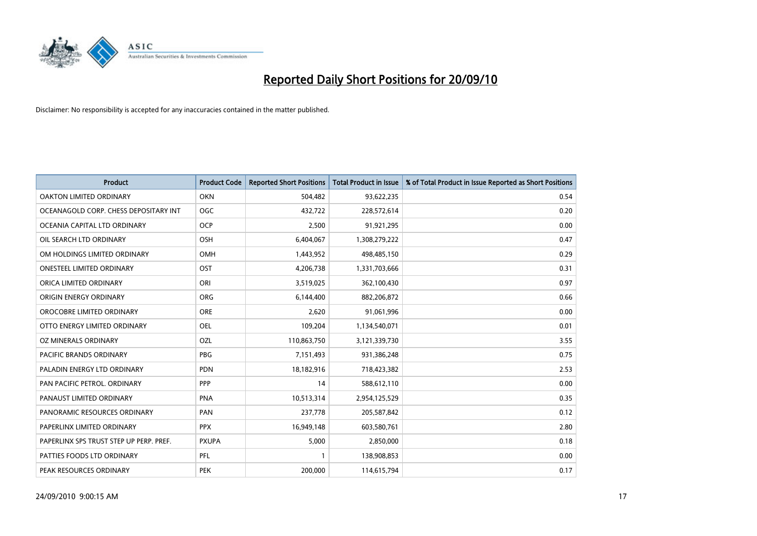

| <b>Product</b>                          | <b>Product Code</b> | <b>Reported Short Positions</b> | Total Product in Issue | % of Total Product in Issue Reported as Short Positions |
|-----------------------------------------|---------------------|---------------------------------|------------------------|---------------------------------------------------------|
| <b>OAKTON LIMITED ORDINARY</b>          | <b>OKN</b>          | 504,482                         | 93,622,235             | 0.54                                                    |
| OCEANAGOLD CORP. CHESS DEPOSITARY INT   | <b>OGC</b>          | 432,722                         | 228,572,614            | 0.20                                                    |
| OCEANIA CAPITAL LTD ORDINARY            | <b>OCP</b>          | 2,500                           | 91,921,295             | 0.00                                                    |
| OIL SEARCH LTD ORDINARY                 | <b>OSH</b>          | 6,404,067                       | 1,308,279,222          | 0.47                                                    |
| OM HOLDINGS LIMITED ORDINARY            | OMH                 | 1,443,952                       | 498,485,150            | 0.29                                                    |
| <b>ONESTEEL LIMITED ORDINARY</b>        | OST                 | 4,206,738                       | 1,331,703,666          | 0.31                                                    |
| ORICA LIMITED ORDINARY                  | ORI                 | 3,519,025                       | 362,100,430            | 0.97                                                    |
| ORIGIN ENERGY ORDINARY                  | <b>ORG</b>          | 6,144,400                       | 882,206,872            | 0.66                                                    |
| OROCOBRE LIMITED ORDINARY               | <b>ORE</b>          | 2,620                           | 91,061,996             | 0.00                                                    |
| OTTO ENERGY LIMITED ORDINARY            | <b>OEL</b>          | 109,204                         | 1,134,540,071          | 0.01                                                    |
| OZ MINERALS ORDINARY                    | OZL                 | 110,863,750                     | 3,121,339,730          | 3.55                                                    |
| PACIFIC BRANDS ORDINARY                 | <b>PBG</b>          | 7,151,493                       | 931,386,248            | 0.75                                                    |
| PALADIN ENERGY LTD ORDINARY             | <b>PDN</b>          | 18,182,916                      | 718,423,382            | 2.53                                                    |
| PAN PACIFIC PETROL. ORDINARY            | PPP                 | 14                              | 588,612,110            | 0.00                                                    |
| PANAUST LIMITED ORDINARY                | <b>PNA</b>          | 10,513,314                      | 2,954,125,529          | 0.35                                                    |
| PANORAMIC RESOURCES ORDINARY            | PAN                 | 237,778                         | 205,587,842            | 0.12                                                    |
| PAPERLINX LIMITED ORDINARY              | <b>PPX</b>          | 16,949,148                      | 603,580,761            | 2.80                                                    |
| PAPERLINX SPS TRUST STEP UP PERP. PREF. | <b>PXUPA</b>        | 5,000                           | 2,850,000              | 0.18                                                    |
| PATTIES FOODS LTD ORDINARY              | PFL                 |                                 | 138,908,853            | 0.00                                                    |
| PEAK RESOURCES ORDINARY                 | <b>PEK</b>          | 200.000                         | 114,615,794            | 0.17                                                    |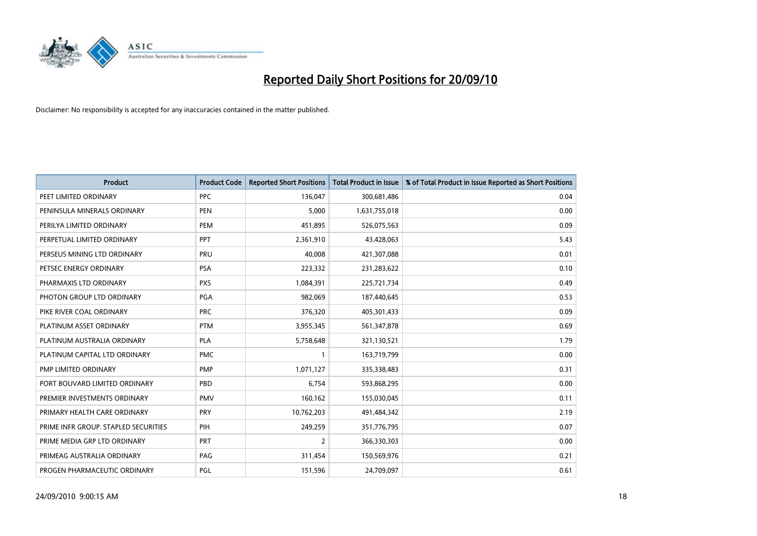

| <b>Product</b>                       | <b>Product Code</b> | <b>Reported Short Positions</b> | Total Product in Issue | % of Total Product in Issue Reported as Short Positions |
|--------------------------------------|---------------------|---------------------------------|------------------------|---------------------------------------------------------|
| PEET LIMITED ORDINARY                | <b>PPC</b>          | 136,047                         | 300,681,486            | 0.04                                                    |
| PENINSULA MINERALS ORDINARY          | <b>PEN</b>          | 5,000                           | 1,631,755,018          | 0.00                                                    |
| PERILYA LIMITED ORDINARY             | PEM                 | 451,895                         | 526,075,563            | 0.09                                                    |
| PERPETUAL LIMITED ORDINARY           | <b>PPT</b>          | 2,361,910                       | 43,428,063             | 5.43                                                    |
| PERSEUS MINING LTD ORDINARY          | PRU                 | 40,008                          | 421,307,088            | 0.01                                                    |
| PETSEC ENERGY ORDINARY               | <b>PSA</b>          | 223,332                         | 231,283,622            | 0.10                                                    |
| PHARMAXIS LTD ORDINARY               | <b>PXS</b>          | 1,084,391                       | 225,721,734            | 0.49                                                    |
| PHOTON GROUP LTD ORDINARY            | <b>PGA</b>          | 982,069                         | 187,440,645            | 0.53                                                    |
| PIKE RIVER COAL ORDINARY             | <b>PRC</b>          | 376,320                         | 405,301,433            | 0.09                                                    |
| PLATINUM ASSET ORDINARY              | <b>PTM</b>          | 3,955,345                       | 561,347,878            | 0.69                                                    |
| PLATINUM AUSTRALIA ORDINARY          | <b>PLA</b>          | 5,758,648                       | 321,130,521            | 1.79                                                    |
| PLATINUM CAPITAL LTD ORDINARY        | <b>PMC</b>          |                                 | 163,719,799            | 0.00                                                    |
| PMP LIMITED ORDINARY                 | <b>PMP</b>          | 1,071,127                       | 335,338,483            | 0.31                                                    |
| PORT BOUVARD LIMITED ORDINARY        | PBD                 | 6,754                           | 593,868,295            | 0.00                                                    |
| PREMIER INVESTMENTS ORDINARY         | <b>PMV</b>          | 160,162                         | 155,030,045            | 0.11                                                    |
| PRIMARY HEALTH CARE ORDINARY         | <b>PRY</b>          | 10,762,203                      | 491,484,342            | 2.19                                                    |
| PRIME INFR GROUP. STAPLED SECURITIES | PIH                 | 249,259                         | 351,776,795            | 0.07                                                    |
| PRIME MEDIA GRP LTD ORDINARY         | <b>PRT</b>          | $\overline{2}$                  | 366,330,303            | 0.00                                                    |
| PRIMEAG AUSTRALIA ORDINARY           | PAG                 | 311,454                         | 150,569,976            | 0.21                                                    |
| PROGEN PHARMACEUTIC ORDINARY         | PGL                 | 151,596                         | 24,709,097             | 0.61                                                    |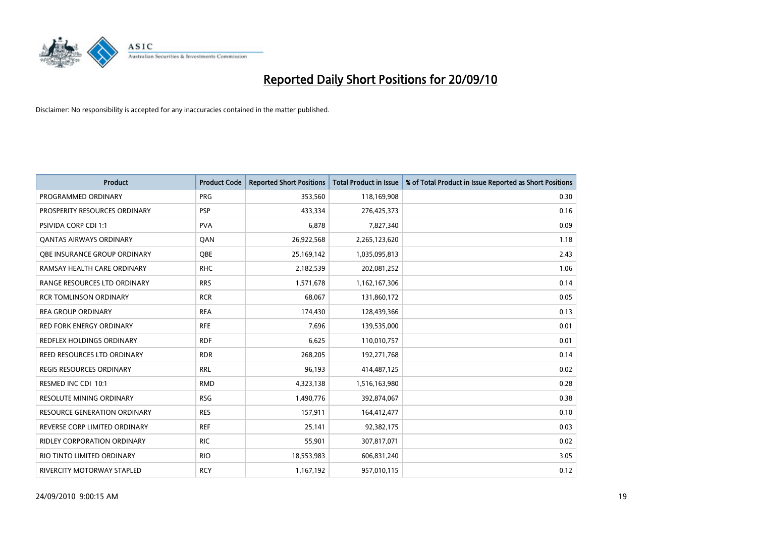

| <b>Product</b>                   | <b>Product Code</b> | <b>Reported Short Positions</b> | Total Product in Issue | % of Total Product in Issue Reported as Short Positions |
|----------------------------------|---------------------|---------------------------------|------------------------|---------------------------------------------------------|
| PROGRAMMED ORDINARY              | <b>PRG</b>          | 353,560                         | 118,169,908            | 0.30                                                    |
| PROSPERITY RESOURCES ORDINARY    | <b>PSP</b>          | 433,334                         | 276,425,373            | 0.16                                                    |
| <b>PSIVIDA CORP CDI 1:1</b>      | <b>PVA</b>          | 6,878                           | 7,827,340              | 0.09                                                    |
| <b>QANTAS AIRWAYS ORDINARY</b>   | QAN                 | 26,922,568                      | 2,265,123,620          | 1.18                                                    |
| OBE INSURANCE GROUP ORDINARY     | <b>QBE</b>          | 25,169,142                      | 1,035,095,813          | 2.43                                                    |
| RAMSAY HEALTH CARE ORDINARY      | <b>RHC</b>          | 2,182,539                       | 202,081,252            | 1.06                                                    |
| RANGE RESOURCES LTD ORDINARY     | <b>RRS</b>          | 1,571,678                       | 1,162,167,306          | 0.14                                                    |
| <b>RCR TOMLINSON ORDINARY</b>    | <b>RCR</b>          | 68,067                          | 131,860,172            | 0.05                                                    |
| <b>REA GROUP ORDINARY</b>        | <b>REA</b>          | 174,430                         | 128,439,366            | 0.13                                                    |
| <b>RED FORK ENERGY ORDINARY</b>  | <b>RFE</b>          | 7,696                           | 139,535,000            | 0.01                                                    |
| <b>REDFLEX HOLDINGS ORDINARY</b> | <b>RDF</b>          | 6,625                           | 110,010,757            | 0.01                                                    |
| REED RESOURCES LTD ORDINARY      | <b>RDR</b>          | 268,205                         | 192,271,768            | 0.14                                                    |
| REGIS RESOURCES ORDINARY         | <b>RRL</b>          | 96,193                          | 414,487,125            | 0.02                                                    |
| RESMED INC CDI 10:1              | <b>RMD</b>          | 4,323,138                       | 1,516,163,980          | 0.28                                                    |
| <b>RESOLUTE MINING ORDINARY</b>  | <b>RSG</b>          | 1,490,776                       | 392,874,067            | 0.38                                                    |
| RESOURCE GENERATION ORDINARY     | <b>RES</b>          | 157,911                         | 164,412,477            | 0.10                                                    |
| REVERSE CORP LIMITED ORDINARY    | <b>REF</b>          | 25,141                          | 92,382,175             | 0.03                                                    |
| RIDLEY CORPORATION ORDINARY      | <b>RIC</b>          | 55,901                          | 307,817,071            | 0.02                                                    |
| RIO TINTO LIMITED ORDINARY       | <b>RIO</b>          | 18,553,983                      | 606,831,240            | 3.05                                                    |
| RIVERCITY MOTORWAY STAPLED       | <b>RCY</b>          | 1,167,192                       | 957,010,115            | 0.12                                                    |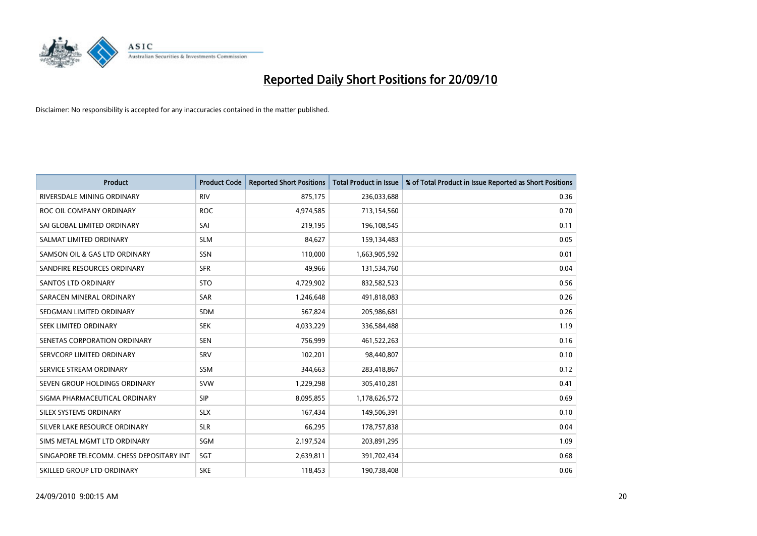

| <b>Product</b>                           | <b>Product Code</b> | <b>Reported Short Positions</b> | <b>Total Product in Issue</b> | % of Total Product in Issue Reported as Short Positions |
|------------------------------------------|---------------------|---------------------------------|-------------------------------|---------------------------------------------------------|
| RIVERSDALE MINING ORDINARY               | <b>RIV</b>          | 875,175                         | 236,033,688                   | 0.36                                                    |
| ROC OIL COMPANY ORDINARY                 | <b>ROC</b>          | 4,974,585                       | 713,154,560                   | 0.70                                                    |
| SAI GLOBAL LIMITED ORDINARY              | SAI                 | 219,195                         | 196,108,545                   | 0.11                                                    |
| SALMAT LIMITED ORDINARY                  | <b>SLM</b>          | 84,627                          | 159,134,483                   | 0.05                                                    |
| SAMSON OIL & GAS LTD ORDINARY            | SSN                 | 110,000                         | 1,663,905,592                 | 0.01                                                    |
| SANDFIRE RESOURCES ORDINARY              | <b>SFR</b>          | 49,966                          | 131,534,760                   | 0.04                                                    |
| <b>SANTOS LTD ORDINARY</b>               | <b>STO</b>          | 4,729,902                       | 832,582,523                   | 0.56                                                    |
| SARACEN MINERAL ORDINARY                 | <b>SAR</b>          | 1,246,648                       | 491,818,083                   | 0.26                                                    |
| SEDGMAN LIMITED ORDINARY                 | <b>SDM</b>          | 567,824                         | 205,986,681                   | 0.26                                                    |
| SEEK LIMITED ORDINARY                    | <b>SEK</b>          | 4,033,229                       | 336,584,488                   | 1.19                                                    |
| SENETAS CORPORATION ORDINARY             | <b>SEN</b>          | 756,999                         | 461,522,263                   | 0.16                                                    |
| SERVCORP LIMITED ORDINARY                | SRV                 | 102,201                         | 98,440,807                    | 0.10                                                    |
| SERVICE STREAM ORDINARY                  | <b>SSM</b>          | 344,663                         | 283,418,867                   | 0.12                                                    |
| SEVEN GROUP HOLDINGS ORDINARY            | <b>SVW</b>          | 1,229,298                       | 305,410,281                   | 0.41                                                    |
| SIGMA PHARMACEUTICAL ORDINARY            | SIP                 | 8,095,855                       | 1,178,626,572                 | 0.69                                                    |
| SILEX SYSTEMS ORDINARY                   | <b>SLX</b>          | 167,434                         | 149,506,391                   | 0.10                                                    |
| SILVER LAKE RESOURCE ORDINARY            | <b>SLR</b>          | 66,295                          | 178,757,838                   | 0.04                                                    |
| SIMS METAL MGMT LTD ORDINARY             | SGM                 | 2,197,524                       | 203,891,295                   | 1.09                                                    |
| SINGAPORE TELECOMM. CHESS DEPOSITARY INT | SGT                 | 2,639,811                       | 391,702,434                   | 0.68                                                    |
| SKILLED GROUP LTD ORDINARY               | <b>SKE</b>          | 118,453                         | 190,738,408                   | 0.06                                                    |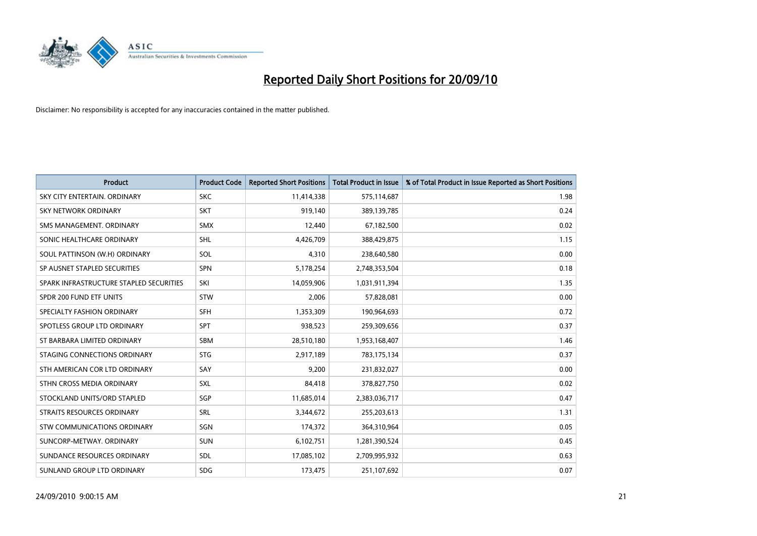

| <b>Product</b>                          | <b>Product Code</b> | <b>Reported Short Positions</b> | <b>Total Product in Issue</b> | % of Total Product in Issue Reported as Short Positions |
|-----------------------------------------|---------------------|---------------------------------|-------------------------------|---------------------------------------------------------|
| SKY CITY ENTERTAIN, ORDINARY            | <b>SKC</b>          | 11,414,338                      | 575,114,687                   | 1.98                                                    |
| SKY NETWORK ORDINARY                    | <b>SKT</b>          | 919,140                         | 389,139,785                   | 0.24                                                    |
| SMS MANAGEMENT, ORDINARY                | <b>SMX</b>          | 12,440                          | 67,182,500                    | 0.02                                                    |
| SONIC HEALTHCARE ORDINARY               | <b>SHL</b>          | 4,426,709                       | 388,429,875                   | 1.15                                                    |
| SOUL PATTINSON (W.H) ORDINARY           | SOL                 | 4,310                           | 238,640,580                   | 0.00                                                    |
| SP AUSNET STAPLED SECURITIES            | <b>SPN</b>          | 5,178,254                       | 2,748,353,504                 | 0.18                                                    |
| SPARK INFRASTRUCTURE STAPLED SECURITIES | SKI                 | 14,059,906                      | 1,031,911,394                 | 1.35                                                    |
| SPDR 200 FUND ETF UNITS                 | <b>STW</b>          | 2,006                           | 57,828,081                    | 0.00                                                    |
| SPECIALTY FASHION ORDINARY              | SFH                 | 1,353,309                       | 190,964,693                   | 0.72                                                    |
| SPOTLESS GROUP LTD ORDINARY             | SPT                 | 938,523                         | 259,309,656                   | 0.37                                                    |
| ST BARBARA LIMITED ORDINARY             | <b>SBM</b>          | 28,510,180                      | 1,953,168,407                 | 1.46                                                    |
| STAGING CONNECTIONS ORDINARY            | <b>STG</b>          | 2,917,189                       | 783,175,134                   | 0.37                                                    |
| STH AMERICAN COR LTD ORDINARY           | SAY                 | 9,200                           | 231,832,027                   | 0.00                                                    |
| STHN CROSS MEDIA ORDINARY               | <b>SXL</b>          | 84,418                          | 378,827,750                   | 0.02                                                    |
| STOCKLAND UNITS/ORD STAPLED             | SGP                 | 11,685,014                      | 2,383,036,717                 | 0.47                                                    |
| <b>STRAITS RESOURCES ORDINARY</b>       | SRL                 | 3,344,672                       | 255,203,613                   | 1.31                                                    |
| <b>STW COMMUNICATIONS ORDINARY</b>      | SGN                 | 174,372                         | 364,310,964                   | 0.05                                                    |
| SUNCORP-METWAY, ORDINARY                | <b>SUN</b>          | 6,102,751                       | 1,281,390,524                 | 0.45                                                    |
| SUNDANCE RESOURCES ORDINARY             | <b>SDL</b>          | 17,085,102                      | 2,709,995,932                 | 0.63                                                    |
| SUNLAND GROUP LTD ORDINARY              | <b>SDG</b>          | 173,475                         | 251,107,692                   | 0.07                                                    |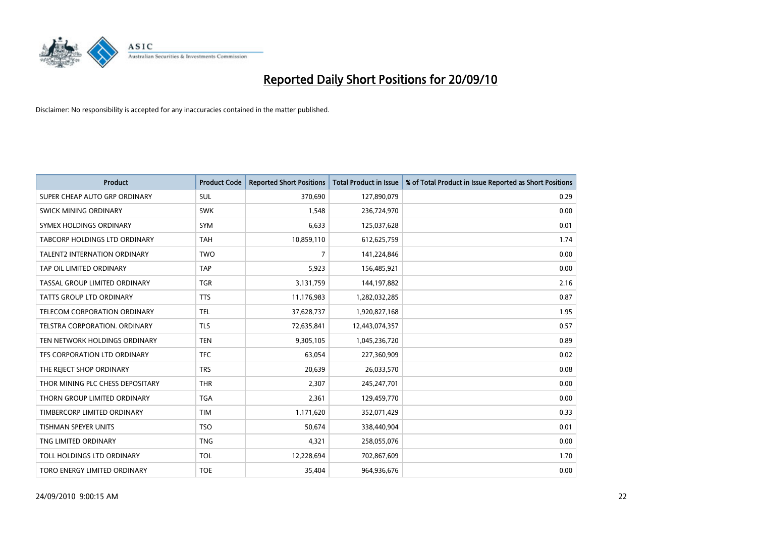

| <b>Product</b>                      | <b>Product Code</b> | <b>Reported Short Positions</b> | <b>Total Product in Issue</b> | % of Total Product in Issue Reported as Short Positions |
|-------------------------------------|---------------------|---------------------------------|-------------------------------|---------------------------------------------------------|
| SUPER CHEAP AUTO GRP ORDINARY       | <b>SUL</b>          | 370,690                         | 127,890,079                   | 0.29                                                    |
| SWICK MINING ORDINARY               | <b>SWK</b>          | 1,548                           | 236,724,970                   | 0.00                                                    |
| SYMEX HOLDINGS ORDINARY             | SYM                 | 6,633                           | 125,037,628                   | 0.01                                                    |
| TABCORP HOLDINGS LTD ORDINARY       | <b>TAH</b>          | 10,859,110                      | 612,625,759                   | 1.74                                                    |
| <b>TALENT2 INTERNATION ORDINARY</b> | <b>TWO</b>          | $\overline{7}$                  | 141,224,846                   | 0.00                                                    |
| TAP OIL LIMITED ORDINARY            | <b>TAP</b>          | 5,923                           | 156,485,921                   | 0.00                                                    |
| TASSAL GROUP LIMITED ORDINARY       | <b>TGR</b>          | 3,131,759                       | 144,197,882                   | 2.16                                                    |
| TATTS GROUP LTD ORDINARY            | <b>TTS</b>          | 11,176,983                      | 1,282,032,285                 | 0.87                                                    |
| TELECOM CORPORATION ORDINARY        | <b>TEL</b>          | 37,628,737                      | 1,920,827,168                 | 1.95                                                    |
| TELSTRA CORPORATION, ORDINARY       | <b>TLS</b>          | 72,635,841                      | 12,443,074,357                | 0.57                                                    |
| TEN NETWORK HOLDINGS ORDINARY       | <b>TEN</b>          | 9,305,105                       | 1,045,236,720                 | 0.89                                                    |
| TFS CORPORATION LTD ORDINARY        | <b>TFC</b>          | 63,054                          | 227,360,909                   | 0.02                                                    |
| THE REJECT SHOP ORDINARY            | <b>TRS</b>          | 20,639                          | 26,033,570                    | 0.08                                                    |
| THOR MINING PLC CHESS DEPOSITARY    | <b>THR</b>          | 2,307                           | 245,247,701                   | 0.00                                                    |
| THORN GROUP LIMITED ORDINARY        | <b>TGA</b>          | 2,361                           | 129,459,770                   | 0.00                                                    |
| TIMBERCORP LIMITED ORDINARY         | <b>TIM</b>          | 1,171,620                       | 352,071,429                   | 0.33                                                    |
| TISHMAN SPEYER UNITS                | <b>TSO</b>          | 50,674                          | 338,440,904                   | 0.01                                                    |
| TNG LIMITED ORDINARY                | <b>TNG</b>          | 4,321                           | 258,055,076                   | 0.00                                                    |
| TOLL HOLDINGS LTD ORDINARY          | <b>TOL</b>          | 12,228,694                      | 702,867,609                   | 1.70                                                    |
| TORO ENERGY LIMITED ORDINARY        | <b>TOE</b>          | 35,404                          | 964,936,676                   | 0.00                                                    |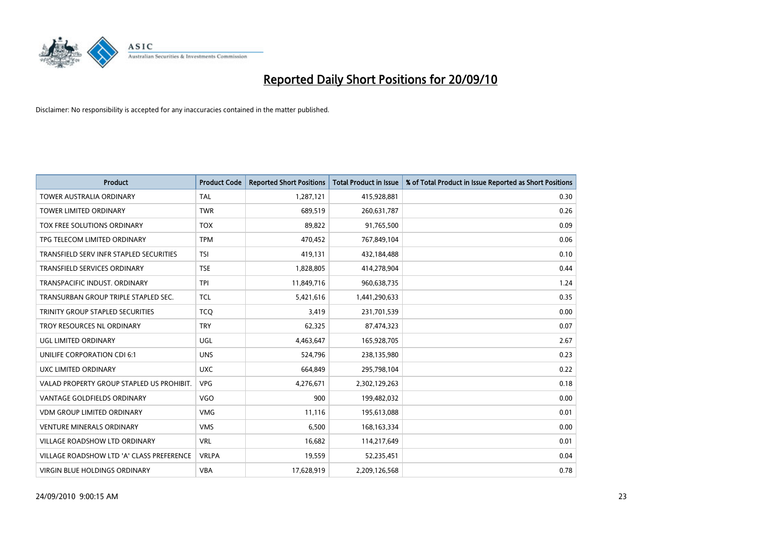

| <b>Product</b>                            | <b>Product Code</b> | <b>Reported Short Positions</b> | <b>Total Product in Issue</b> | % of Total Product in Issue Reported as Short Positions |
|-------------------------------------------|---------------------|---------------------------------|-------------------------------|---------------------------------------------------------|
| <b>TOWER AUSTRALIA ORDINARY</b>           | <b>TAL</b>          | 1,287,121                       | 415,928,881                   | 0.30                                                    |
| TOWER LIMITED ORDINARY                    | <b>TWR</b>          | 689,519                         | 260,631,787                   | 0.26                                                    |
| TOX FREE SOLUTIONS ORDINARY               | <b>TOX</b>          | 89,822                          | 91,765,500                    | 0.09                                                    |
| TPG TELECOM LIMITED ORDINARY              | <b>TPM</b>          | 470,452                         | 767,849,104                   | 0.06                                                    |
| TRANSFIELD SERV INFR STAPLED SECURITIES   | <b>TSI</b>          | 419,131                         | 432,184,488                   | 0.10                                                    |
| TRANSFIELD SERVICES ORDINARY              | <b>TSE</b>          | 1,828,805                       | 414,278,904                   | 0.44                                                    |
| TRANSPACIFIC INDUST, ORDINARY             | <b>TPI</b>          | 11,849,716                      | 960,638,735                   | 1.24                                                    |
| TRANSURBAN GROUP TRIPLE STAPLED SEC.      | <b>TCL</b>          | 5,421,616                       | 1,441,290,633                 | 0.35                                                    |
| TRINITY GROUP STAPLED SECURITIES          | <b>TCO</b>          | 3,419                           | 231,701,539                   | 0.00                                                    |
| TROY RESOURCES NL ORDINARY                | <b>TRY</b>          | 62,325                          | 87,474,323                    | 0.07                                                    |
| UGL LIMITED ORDINARY                      | UGL                 | 4,463,647                       | 165,928,705                   | 2.67                                                    |
| UNILIFE CORPORATION CDI 6:1               | <b>UNS</b>          | 524,796                         | 238,135,980                   | 0.23                                                    |
| UXC LIMITED ORDINARY                      | <b>UXC</b>          | 664,849                         | 295,798,104                   | 0.22                                                    |
| VALAD PROPERTY GROUP STAPLED US PROHIBIT. | <b>VPG</b>          | 4,276,671                       | 2,302,129,263                 | 0.18                                                    |
| <b>VANTAGE GOLDFIELDS ORDINARY</b>        | <b>VGO</b>          | 900                             | 199,482,032                   | 0.00                                                    |
| <b>VDM GROUP LIMITED ORDINARY</b>         | <b>VMG</b>          | 11,116                          | 195,613,088                   | 0.01                                                    |
| <b>VENTURE MINERALS ORDINARY</b>          | <b>VMS</b>          | 6,500                           | 168, 163, 334                 | 0.00                                                    |
| VILLAGE ROADSHOW LTD ORDINARY             | <b>VRL</b>          | 16,682                          | 114,217,649                   | 0.01                                                    |
| VILLAGE ROADSHOW LTD 'A' CLASS PREFERENCE | <b>VRLPA</b>        | 19,559                          | 52,235,451                    | 0.04                                                    |
| VIRGIN BLUE HOLDINGS ORDINARY             | <b>VBA</b>          | 17,628,919                      | 2,209,126,568                 | 0.78                                                    |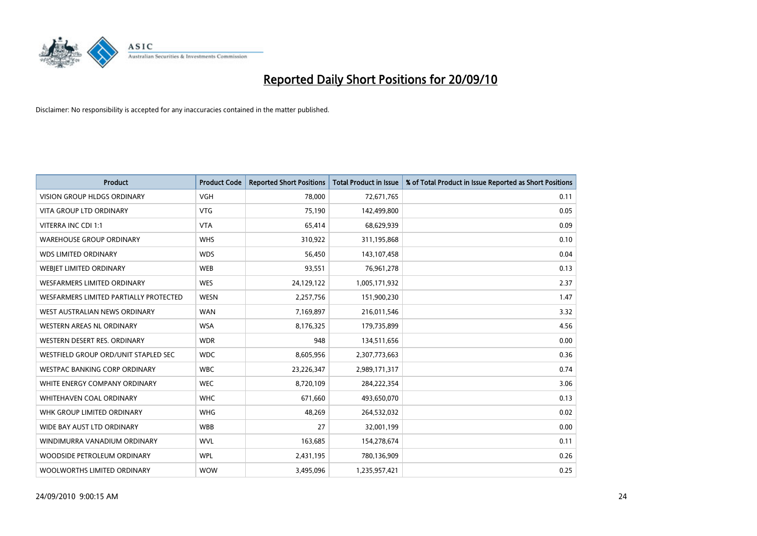

| <b>Product</b>                         | <b>Product Code</b> | <b>Reported Short Positions</b> | <b>Total Product in Issue</b> | % of Total Product in Issue Reported as Short Positions |
|----------------------------------------|---------------------|---------------------------------|-------------------------------|---------------------------------------------------------|
| <b>VISION GROUP HLDGS ORDINARY</b>     | <b>VGH</b>          | 78,000                          | 72,671,765                    | 0.11                                                    |
| VITA GROUP LTD ORDINARY                | <b>VTG</b>          | 75,190                          | 142,499,800                   | 0.05                                                    |
| VITERRA INC CDI 1:1                    | <b>VTA</b>          | 65,414                          | 68,629,939                    | 0.09                                                    |
| <b>WAREHOUSE GROUP ORDINARY</b>        | <b>WHS</b>          | 310,922                         | 311,195,868                   | 0.10                                                    |
| <b>WDS LIMITED ORDINARY</b>            | <b>WDS</b>          | 56,450                          | 143,107,458                   | 0.04                                                    |
| WEBIET LIMITED ORDINARY                | <b>WEB</b>          | 93,551                          | 76,961,278                    | 0.13                                                    |
| <b>WESFARMERS LIMITED ORDINARY</b>     | <b>WES</b>          | 24,129,122                      | 1,005,171,932                 | 2.37                                                    |
| WESFARMERS LIMITED PARTIALLY PROTECTED | <b>WESN</b>         | 2,257,756                       | 151,900,230                   | 1.47                                                    |
| WEST AUSTRALIAN NEWS ORDINARY          | <b>WAN</b>          | 7,169,897                       | 216,011,546                   | 3.32                                                    |
| WESTERN AREAS NL ORDINARY              | <b>WSA</b>          | 8,176,325                       | 179,735,899                   | 4.56                                                    |
| WESTERN DESERT RES. ORDINARY           | <b>WDR</b>          | 948                             | 134,511,656                   | 0.00                                                    |
| WESTFIELD GROUP ORD/UNIT STAPLED SEC   | <b>WDC</b>          | 8,605,956                       | 2,307,773,663                 | 0.36                                                    |
| WESTPAC BANKING CORP ORDINARY          | <b>WBC</b>          | 23,226,347                      | 2,989,171,317                 | 0.74                                                    |
| WHITE ENERGY COMPANY ORDINARY          | <b>WEC</b>          | 8,720,109                       | 284,222,354                   | 3.06                                                    |
| WHITEHAVEN COAL ORDINARY               | <b>WHC</b>          | 671,660                         | 493,650,070                   | 0.13                                                    |
| WHK GROUP LIMITED ORDINARY             | <b>WHG</b>          | 48,269                          | 264,532,032                   | 0.02                                                    |
| WIDE BAY AUST LTD ORDINARY             | <b>WBB</b>          | 27                              | 32,001,199                    | 0.00                                                    |
| WINDIMURRA VANADIUM ORDINARY           | <b>WVL</b>          | 163,685                         | 154,278,674                   | 0.11                                                    |
| WOODSIDE PETROLEUM ORDINARY            | <b>WPL</b>          | 2,431,195                       | 780,136,909                   | 0.26                                                    |
| WOOLWORTHS LIMITED ORDINARY            | <b>WOW</b>          | 3,495,096                       | 1,235,957,421                 | 0.25                                                    |